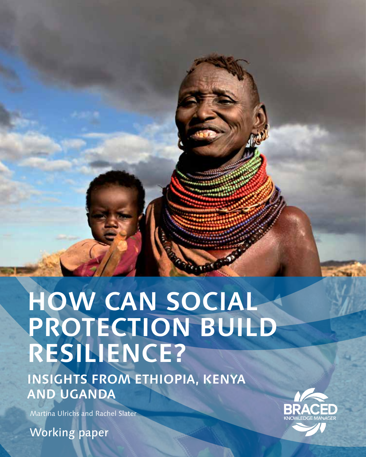# **HOW CAN SOCIAL PROTECTION BUILD RESILIENCE?**

**INSIGHTS FROM ETHIOPIA, KENYA AND UGANDA**

Martina Ulrichs and Rachel Slater



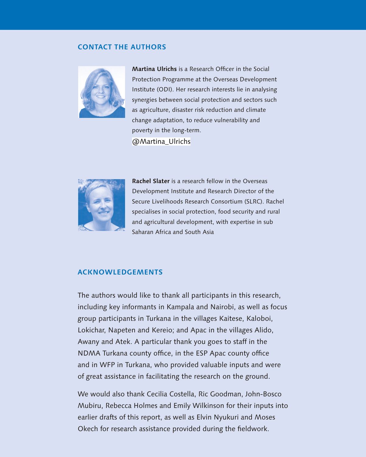### **CONTACT THE AUTHORS**



**Martina Ulrichs** is a Research Officer in the Social Protection Programme at the Overseas Development Institute (ODI). Her research interests lie in analysing synergies between social protection and sectors such as agriculture, disaster risk reduction and climate change adaptation, to reduce vulnerability and poverty in the long-term. @Martina\_Ulrichs



**Rachel Slater** is a research fellow in the Overseas Development Institute and Research Director of the Secure Livelihoods Research Consortium (SLRC). Rachel specialises in social protection, food security and rural and agricultural development, with expertise in sub Saharan Africa and South Asia

### **ACKNOWLEDGEMENTS**

The authors would like to thank all participants in this research, including key informants in Kampala and Nairobi, as well as focus group participants in Turkana in the villages Kaitese, Kaloboi, Lokichar, Napeten and Kereio; and Apac in the villages Alido, Awany and Atek. A particular thank you goes to staff in the NDMA Turkana county office, in the ESP Apac county office and in WFP in Turkana, who provided valuable inputs and were of great assistance in facilitating the research on the ground.

We would also thank Cecilia Costella, Ric Goodman, John-Bosco Mubiru, Rebecca Holmes and Emily Wilkinson for their inputs into earlier drafts of this report, as well as Elvin Nyukuri and Moses Okech for research assistance provided during the fieldwork.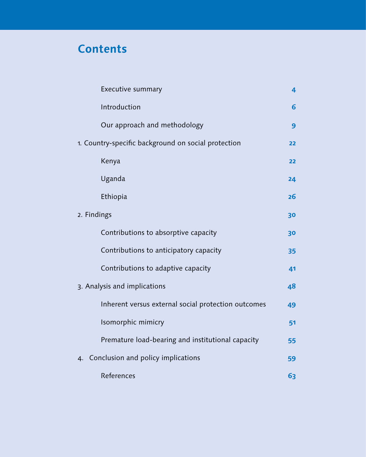# **Contents**

| Executive summary                                   | 4  |
|-----------------------------------------------------|----|
| Introduction                                        | 6  |
| Our approach and methodology                        | 9  |
| 1. Country-specific background on social protection | 22 |
| Kenya                                               | 22 |
| Uganda                                              | 24 |
| Ethiopia                                            | 26 |
| 2. Findings                                         | 30 |
| Contributions to absorptive capacity                | 30 |
| Contributions to anticipatory capacity              | 35 |
| Contributions to adaptive capacity                  | 41 |
| 3. Analysis and implications                        | 48 |
| Inherent versus external social protection outcomes | 49 |
| Isomorphic mimicry                                  | 51 |
| Premature load-bearing and institutional capacity   | 55 |
| Conclusion and policy implications<br>4.            | 59 |
| References                                          | 63 |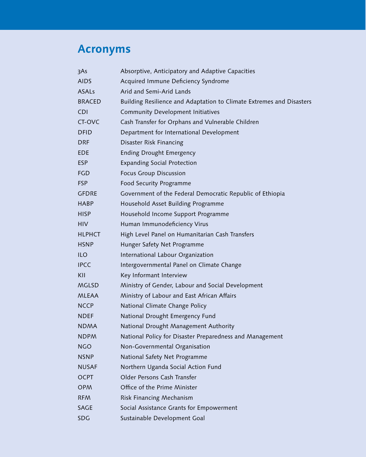# **Acronyms**

| 3As           | Absorptive, Anticipatory and Adaptive Capacities                     |
|---------------|----------------------------------------------------------------------|
| <b>AIDS</b>   | Acquired Immune Deficiency Syndrome                                  |
| <b>ASALs</b>  | Arid and Semi-Arid Lands                                             |
| <b>BRACED</b> | Building Resilience and Adaptation to Climate Extremes and Disasters |
| <b>CDI</b>    | <b>Community Development Initiatives</b>                             |
| CT-OVC        | Cash Transfer for Orphans and Vulnerable Children                    |
| <b>DFID</b>   | Department for International Development                             |
| <b>DRF</b>    | Disaster Risk Financing                                              |
| <b>EDE</b>    | <b>Ending Drought Emergency</b>                                      |
| <b>ESP</b>    | <b>Expanding Social Protection</b>                                   |
| FGD           | <b>Focus Group Discussion</b>                                        |
| <b>FSP</b>    | Food Security Programme                                              |
| <b>GFDRE</b>  | Government of the Federal Democratic Republic of Ethiopia            |
| <b>HABP</b>   | Household Asset Building Programme                                   |
| <b>HISP</b>   | Household Income Support Programme                                   |
| <b>HIV</b>    | Human Immunodeficiency Virus                                         |
| <b>HLPHCT</b> | High Level Panel on Humanitarian Cash Transfers                      |
| <b>HSNP</b>   | Hunger Safety Net Programme                                          |
| <b>ILO</b>    | International Labour Organization                                    |
| <b>IPCC</b>   | Intergovernmental Panel on Climate Change                            |
| KII           | Key Informant Interview                                              |
| MGLSD         | Ministry of Gender, Labour and Social Development                    |
| <b>MLEAA</b>  | Ministry of Labour and East African Affairs                          |
| <b>NCCP</b>   | National Climate Change Policy                                       |
| <b>NDEF</b>   | National Drought Emergency Fund                                      |
| <b>NDMA</b>   | National Drought Management Authority                                |
| <b>NDPM</b>   | National Policy for Disaster Preparedness and Management             |
| <b>NGO</b>    | Non-Governmental Organisation                                        |
| <b>NSNP</b>   | National Safety Net Programme                                        |
| <b>NUSAF</b>  | Northern Uganda Social Action Fund                                   |
| OCPT          | Older Persons Cash Transfer                                          |
| <b>OPM</b>    | Office of the Prime Minister                                         |
| <b>RFM</b>    | Risk Financing Mechanism                                             |
| <b>SAGE</b>   | Social Assistance Grants for Empowerment                             |
| <b>SDG</b>    | Sustainable Development Goal                                         |
|               |                                                                      |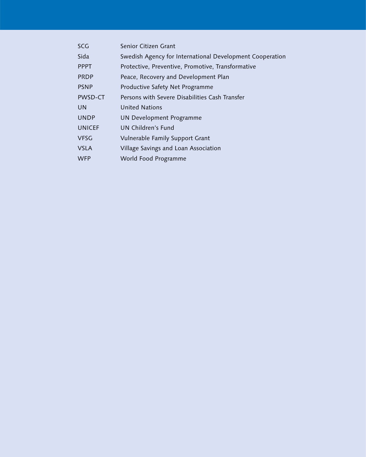| <b>SCG</b>    | Senior Citizen Grant                                     |
|---------------|----------------------------------------------------------|
| Sida          | Swedish Agency for International Development Cooperation |
| <b>PPPT</b>   | Protective, Preventive, Promotive, Transformative        |
| <b>PRDP</b>   | Peace, Recovery and Development Plan                     |
| <b>PSNP</b>   | Productive Safety Net Programme                          |
| PWSD-CT       | Persons with Severe Disabilities Cash Transfer           |
| <b>UN</b>     | United Nations                                           |
| <b>UNDP</b>   | UN Development Programme                                 |
| <b>UNICEF</b> | UN Children's Fund                                       |
| <b>VFSG</b>   | Vulnerable Family Support Grant                          |
| <b>VSLA</b>   | Village Savings and Loan Association                     |
| <b>WFP</b>    | World Food Programme                                     |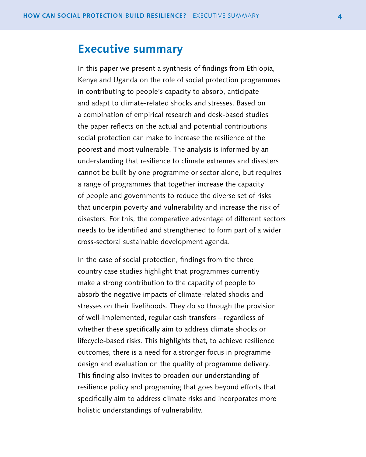## <span id="page-5-0"></span>**Executive summary**

In this paper we present a synthesis of findings from Ethiopia, Kenya and Uganda on the role of social protection programmes in contributing to people's capacity to absorb, anticipate and adapt to climate-related shocks and stresses. Based on a combination of empirical research and desk-based studies the paper reflects on the actual and potential contributions social protection can make to increase the resilience of the poorest and most vulnerable. The analysis is informed by an understanding that resilience to climate extremes and disasters cannot be built by one programme or sector alone, but requires a range of programmes that together increase the capacity of people and governments to reduce the diverse set of risks that underpin poverty and vulnerability and increase the risk of disasters. For this, the comparative advantage of different sectors needs to be identified and strengthened to form part of a wider cross-sectoral sustainable development agenda.

In the case of social protection, findings from the three country case studies highlight that programmes currently make a strong contribution to the capacity of people to absorb the negative impacts of climate-related shocks and stresses on their livelihoods. They do so through the provision of well-implemented, regular cash transfers – regardless of whether these specifically aim to address climate shocks or lifecycle-based risks. This highlights that, to achieve resilience outcomes, there is a need for a stronger focus in programme design and evaluation on the quality of programme delivery. This finding also invites to broaden our understanding of resilience policy and programing that goes beyond efforts that specifically aim to address climate risks and incorporates more holistic understandings of vulnerability.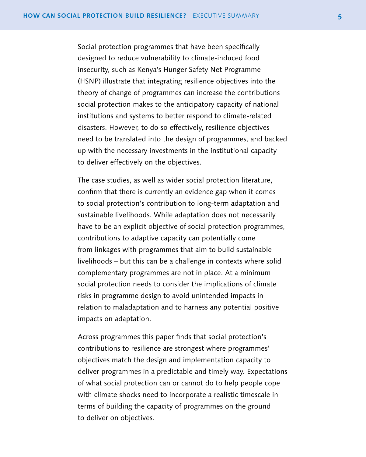Social protection programmes that have been specifically designed to reduce vulnerability to climate-induced food insecurity, such as Kenya's Hunger Safety Net Programme (HSNP) illustrate that integrating resilience objectives into the theory of change of programmes can increase the contributions social protection makes to the anticipatory capacity of national institutions and systems to better respond to climate-related disasters. However, to do so effectively, resilience objectives need to be translated into the design of programmes, and backed up with the necessary investments in the institutional capacity to deliver effectively on the objectives.

The case studies, as well as wider social protection literature, confirm that there is currently an evidence gap when it comes to social protection's contribution to long-term adaptation and sustainable livelihoods. While adaptation does not necessarily have to be an explicit objective of social protection programmes, contributions to adaptive capacity can potentially come from linkages with programmes that aim to build sustainable livelihoods – but this can be a challenge in contexts where solid complementary programmes are not in place. At a minimum social protection needs to consider the implications of climate risks in programme design to avoid unintended impacts in relation to maladaptation and to harness any potential positive impacts on adaptation.

Across programmes this paper finds that social protection's contributions to resilience are strongest where programmes' objectives match the design and implementation capacity to deliver programmes in a predictable and timely way. Expectations of what social protection can or cannot do to help people cope with climate shocks need to incorporate a realistic timescale in terms of building the capacity of programmes on the ground to deliver on objectives.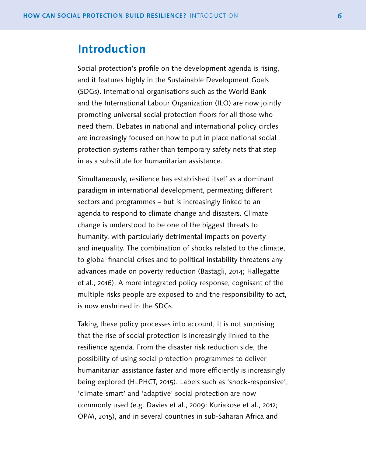## <span id="page-7-0"></span>**Introduction**

Social protection's profile on the development agenda is rising, and it features highly in the Sustainable Development Goals (SDGs). International organisations such as the World Bank and the International Labour Organization (ILO) are now jointly promoting universal social protection floors for all those who need them. Debates in national and international policy circles are increasingly focused on how to put in place national social protection systems rather than temporary safety nets that step in as a substitute for humanitarian assistance.

Simultaneously, resilience has established itself as a dominant paradigm in international development, permeating different sectors and programmes – but is increasingly linked to an agenda to respond to climate change and disasters. Climate change is understood to be one of the biggest threats to humanity, with particularly detrimental impacts on poverty and inequality. The combination of shocks related to the climate, to global financial crises and to political instability threatens any advances made on poverty reduction (Bastagli, 2014; Hallegatte et al., 2016). A more integrated policy response, cognisant of the multiple risks people are exposed to and the responsibility to act, is now enshrined in the SDGs.

Taking these policy processes into account, it is not surprising that the rise of social protection is increasingly linked to the resilience agenda. From the disaster risk reduction side, the possibility of using social protection programmes to deliver humanitarian assistance faster and more efficiently is increasingly being explored (HLPHCT, 2015). Labels such as 'shock-responsive', 'climate-smart' and 'adaptive' social protection are now commonly used (e.g. Davies et al., 2009; Kuriakose et al., 2012; OPM, 2015), and in several countries in sub-Saharan Africa and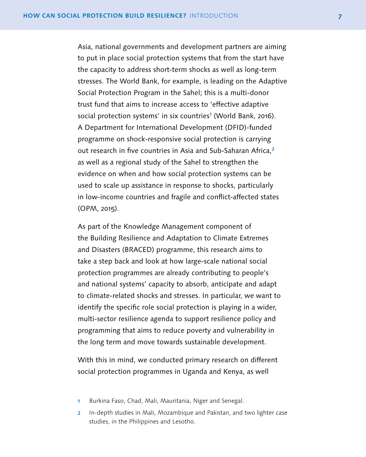Asia, national governments and development partners are aiming to put in place social protection systems that from the start have the capacity to address short-term shocks as well as long-term stresses. The World Bank, for example, is leading on the Adaptive Social Protection Program in the Sahel; this is a multi-donor trust fund that aims to increase access to 'effective adaptive social protection systems' in six countries<sup>1</sup> (World Bank, 2016). A Department for International Development (DFID)-funded programme on shock-responsive social protection is carrying out research in five countries in Asia and Sub-Saharan Africa,<sup>2</sup> as well as a regional study of the Sahel to strengthen the evidence on when and how social protection systems can be used to scale up assistance in response to shocks, particularly in low-income countries and fragile and conflict-affected states (OPM, 2015).

As part of the Knowledge Management component of the Building Resilience and Adaptation to Climate Extremes and Disasters (BRACED) programme, this research aims to take a step back and look at how large-scale national social protection programmes are already contributing to people's and national systems' capacity to absorb, anticipate and adapt to climate-related shocks and stresses. In particular, we want to identify the specific role social protection is playing in a wider, multi-sector resilience agenda to support resilience policy and programming that aims to reduce poverty and vulnerability in the long term and move towards sustainable development.

With this in mind, we conducted primary research on different social protection programmes in Uganda and Kenya, as well

- 1 Burkina Faso, Chad, Mali, Mauritania, Niger and Senegal.
- 2 In-depth studies in Mali, Mozambique and Pakistan, and two lighter case studies, in the Philippines and Lesotho.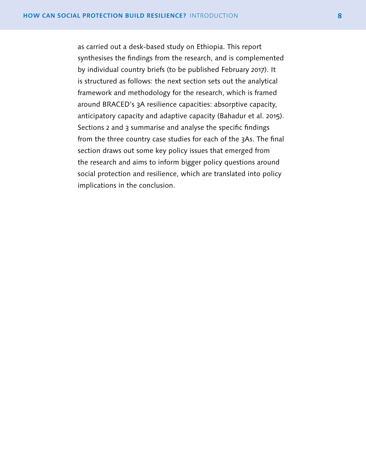as carried out a desk-based study on Ethiopia. This report synthesises the findings from the research, and is complemented by individual country briefs (to be published February 2017). It is structured as follows: the next section sets out the analytical framework and methodology for the research, which is framed around BRACED's 3A resilience capacities: absorptive capacity, anticipatory capacity and adaptive capacity (Bahadur et al. 2015). Sections 2 and 3 summarise and analyse the specific findings from the three country case studies for each of the 3As. The final section draws out some key policy issues that emerged from the research and aims to inform bigger policy questions around social protection and resilience, which are translated into policy implications in the conclusion.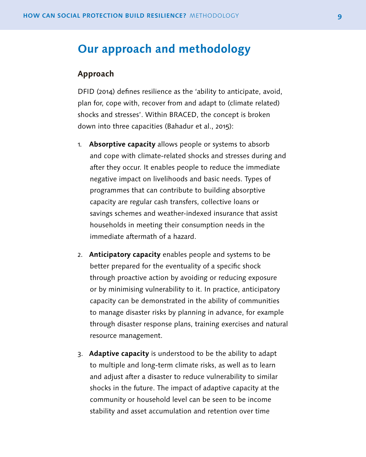## <span id="page-10-0"></span>**Our approach and methodology**

## **Approach**

DFID (2014) defines resilience as the 'ability to anticipate, avoid, plan for, cope with, recover from and adapt to (climate related) shocks and stresses'. Within BRACED, the concept is broken down into three capacities (Bahadur et al., 2015):

- 1. **Absorptive capacity** allows people or systems to absorb and cope with climate-related shocks and stresses during and after they occur. It enables people to reduce the immediate negative impact on livelihoods and basic needs. Types of programmes that can contribute to building absorptive capacity are regular cash transfers, collective loans or savings schemes and weather-indexed insurance that assist households in meeting their consumption needs in the immediate aftermath of a hazard.
- 2. **Anticipatory capacity** enables people and systems to be better prepared for the eventuality of a specific shock through proactive action by avoiding or reducing exposure or by minimising vulnerability to it. In practice, anticipatory capacity can be demonstrated in the ability of communities to manage disaster risks by planning in advance, for example through disaster response plans, training exercises and natural resource management.
- 3. **Adaptive capacity** is understood to be the ability to adapt to multiple and long-term climate risks, as well as to learn and adjust after a disaster to reduce vulnerability to similar shocks in the future. The impact of adaptive capacity at the community or household level can be seen to be income stability and asset accumulation and retention over time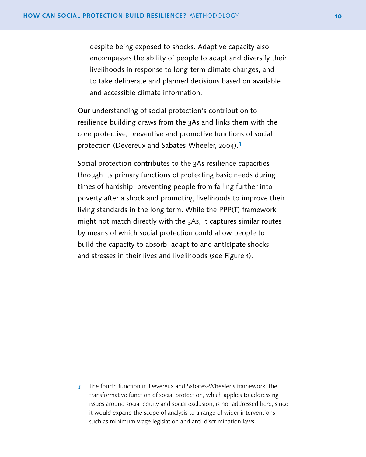despite being exposed to shocks. Adaptive capacity also encompasses the ability of people to adapt and diversify their livelihoods in response to long-term climate changes, and to take deliberate and planned decisions based on available and accessible climate information.

Our understanding of social protection's contribution to resilience building draws from the 3As and links them with the core protective, preventive and promotive functions of social protection (Devereux and Sabates-Wheeler, 2004).<sup>3</sup>

Social protection contributes to the 3As resilience capacities through its primary functions of protecting basic needs during times of hardship, preventing people from falling further into poverty after a shock and promoting livelihoods to improve their living standards in the long term. While the PPP(T) framework might not match directly with the 3As, it captures similar routes by means of which social protection could allow people to build the capacity to absorb, adapt to and anticipate shocks and stresses in their lives and livelihoods (see Figure 1).

3 The fourth function in Devereux and Sabates-Wheeler's framework, the transformative function of social protection, which applies to addressing issues around social equity and social exclusion, is not addressed here, since it would expand the scope of analysis to a range of wider interventions, such as minimum wage legislation and anti-discrimination laws.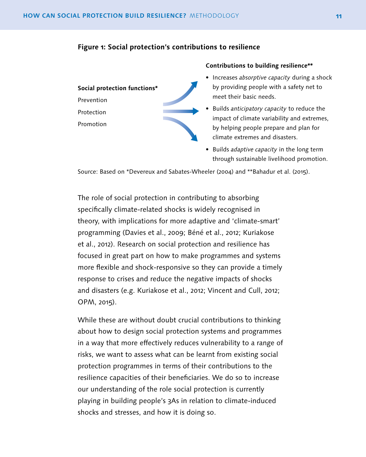### **Figure 1: Social protection's contributions to resilience**

**Social protection functions\*** Prevention Protection Promotion



#### **Contributions to building resilience\*\***

- Increases *absorptive capacity* during a shock by providing people with a safety net to meet their basic needs.
- Builds *anticipatory capacity* to reduce the impact of climate variability and extremes, by helping people prepare and plan for climate extremes and disasters.
- Builds *adaptive capacity* in the long term through sustainable livelihood promotion.

Source: Based on \*Devereux and Sabates-Wheeler (2004) and \*\*Bahadur et al. (2015).

The role of social protection in contributing to absorbing specifically climate-related shocks is widely recognised in theory, with implications for more adaptive and 'climate-smart' programming (Davies et al., 2009; Béné et al., 2012; Kuriakose et al., 2012). Research on social protection and resilience has focused in great part on how to make programmes and systems more flexible and shock-responsive so they can provide a timely response to crises and reduce the negative impacts of shocks and disasters (e.g. Kuriakose et al., 2012; Vincent and Cull, 2012; OPM, 2015).

While these are without doubt crucial contributions to thinking about how to design social protection systems and programmes in a way that more effectively reduces vulnerability to a range of risks, we want to assess what can be learnt from existing social protection programmes in terms of their contributions to the resilience capacities of their beneficiaries. We do so to increase our understanding of the role social protection is currently playing in building people's 3As in relation to climate-induced shocks and stresses, and how it is doing so.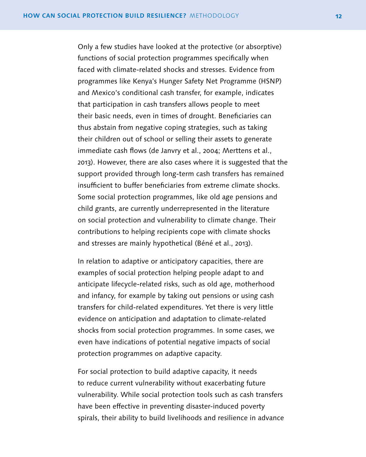Only a few studies have looked at the protective (or absorptive) functions of social protection programmes specifically when faced with climate-related shocks and stresses. Evidence from programmes like Kenya's Hunger Safety Net Programme (HSNP) and Mexico's conditional cash transfer, for example, indicates that participation in cash transfers allows people to meet their basic needs, even in times of drought. Beneficiaries can thus abstain from negative coping strategies, such as taking their children out of school or selling their assets to generate immediate cash flows (de Janvry et al., 2004; Merttens et al., 2013). However, there are also cases where it is suggested that the support provided through long-term cash transfers has remained insufficient to buffer beneficiaries from extreme climate shocks. Some social protection programmes, like old age pensions and child grants, are currently underrepresented in the literature on social protection and vulnerability to climate change. Their contributions to helping recipients cope with climate shocks and stresses are mainly hypothetical (Béné et al., 2013).

In relation to adaptive or anticipatory capacities, there are examples of social protection helping people adapt to and anticipate lifecycle-related risks, such as old age, motherhood and infancy, for example by taking out pensions or using cash transfers for child-related expenditures. Yet there is very little evidence on anticipation and adaptation to climate-related shocks from social protection programmes. In some cases, we even have indications of potential negative impacts of social protection programmes on adaptive capacity.

For social protection to build adaptive capacity, it needs to reduce current vulnerability without exacerbating future vulnerability. While social protection tools such as cash transfers have been effective in preventing disaster-induced poverty spirals, their ability to build livelihoods and resilience in advance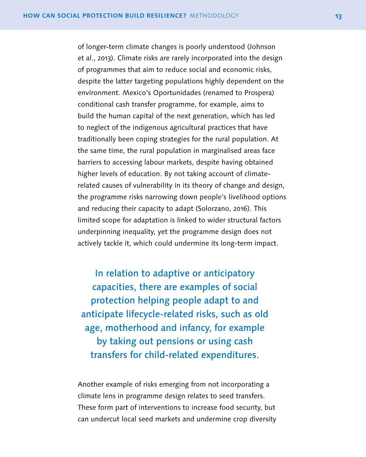of longer-term climate changes is poorly understood (Johnson et al., 2013). Climate risks are rarely incorporated into the design of programmes that aim to reduce social and economic risks, despite the latter targeting populations highly dependent on the environment. Mexico's Oportunidades (renamed to Prospera) conditional cash transfer programme, for example, aims to build the human capital of the next generation, which has led to neglect of the indigenous agricultural practices that have traditionally been coping strategies for the rural population. At the same time, the rural population in marginalised areas face barriers to accessing labour markets, despite having obtained higher levels of education. By not taking account of climaterelated causes of vulnerability in its theory of change and design, the programme risks narrowing down people's livelihood options and reducing their capacity to adapt (Solorzano, 2016). This limited scope for adaptation is linked to wider structural factors underpinning inequality, yet the programme design does not actively tackle it, which could undermine its long-term impact.

In relation to adaptive or anticipatory capacities, there are examples of social protection helping people adapt to and anticipate lifecycle-related risks, such as old age, motherhood and infancy, for example by taking out pensions or using cash transfers for child-related expenditures.

Another example of risks emerging from not incorporating a climate lens in programme design relates to seed transfers. These form part of interventions to increase food security, but can undercut local seed markets and undermine crop diversity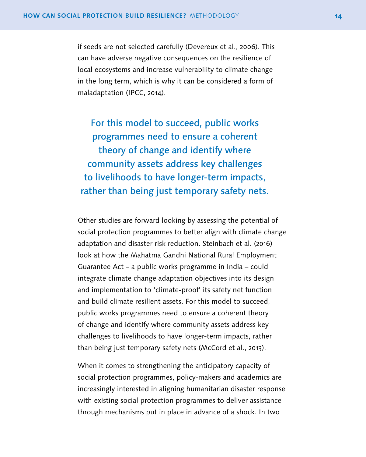if seeds are not selected carefully (Devereux et al., 2006). This can have adverse negative consequences on the resilience of local ecosystems and increase vulnerability to climate change in the long term, which is why it can be considered a form of maladaptation (IPCC, 2014).

For this model to succeed, public works programmes need to ensure a coherent theory of change and identify where community assets address key challenges to livelihoods to have longer-term impacts, rather than being just temporary safety nets.

Other studies are forward looking by assessing the potential of social protection programmes to better align with climate change adaptation and disaster risk reduction. Steinbach et al. (2016) look at how the Mahatma Gandhi National Rural Employment Guarantee Act – a public works programme in India – could integrate climate change adaptation objectives into its design and implementation to 'climate-proof' its safety net function and build climate resilient assets. For this model to succeed, public works programmes need to ensure a coherent theory of change and identify where community assets address key challenges to livelihoods to have longer-term impacts, rather than being just temporary safety nets (McCord et al., 2013).

When it comes to strengthening the anticipatory capacity of social protection programmes, policy-makers and academics are increasingly interested in aligning humanitarian disaster response with existing social protection programmes to deliver assistance through mechanisms put in place in advance of a shock. In two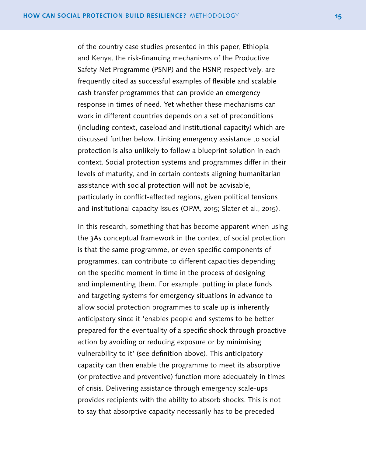of the country case studies presented in this paper, Ethiopia and Kenya, the risk-financing mechanisms of the Productive Safety Net Programme (PSNP) and the HSNP, respectively, are frequently cited as successful examples of flexible and scalable cash transfer programmes that can provide an emergency response in times of need. Yet whether these mechanisms can work in different countries depends on a set of preconditions (including context, caseload and institutional capacity) which are discussed further below. Linking emergency assistance to social protection is also unlikely to follow a blueprint solution in each context. Social protection systems and programmes differ in their levels of maturity, and in certain contexts aligning humanitarian assistance with social protection will not be advisable, particularly in conflict-affected regions, given political tensions and institutional capacity issues (OPM, 2015; Slater et al., 2015).

In this research, something that has become apparent when using the 3As conceptual framework in the context of social protection is that the same programme, or even specific components of programmes, can contribute to different capacities depending on the specific moment in time in the process of designing and implementing them. For example, putting in place funds and targeting systems for emergency situations in advance to allow social protection programmes to scale up is inherently anticipatory since it 'enables people and systems to be better prepared for the eventuality of a specific shock through proactive action by avoiding or reducing exposure or by minimising vulnerability to it' (see definition above). This anticipatory capacity can then enable the programme to meet its absorptive (or protective and preventive) function more adequately in times of crisis. Delivering assistance through emergency scale-ups provides recipients with the ability to absorb shocks. This is not to say that absorptive capacity necessarily has to be preceded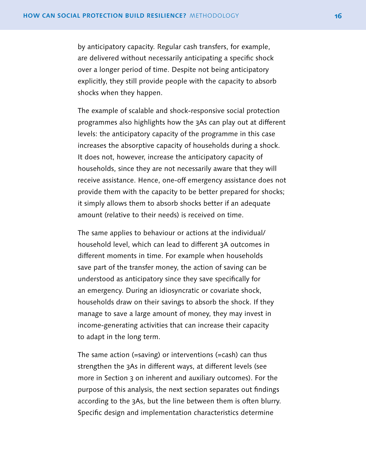by anticipatory capacity. Regular cash transfers, for example, are delivered without necessarily anticipating a specific shock over a longer period of time. Despite not being anticipatory explicitly, they still provide people with the capacity to absorb shocks when they happen.

The example of scalable and shock-responsive social protection programmes also highlights how the 3As can play out at different levels: the anticipatory capacity of the programme in this case increases the absorptive capacity of households during a shock. It does not, however, increase the anticipatory capacity of households, since they are not necessarily aware that they will receive assistance. Hence, one-off emergency assistance does not provide them with the capacity to be better prepared for shocks; it simply allows them to absorb shocks better if an adequate amount (relative to their needs) is received on time.

The same applies to behaviour or actions at the individual/ household level, which can lead to different 3A outcomes in different moments in time. For example when households save part of the transfer money, the action of saving can be understood as anticipatory since they save specifically for an emergency. During an idiosyncratic or covariate shock, households draw on their savings to absorb the shock. If they manage to save a large amount of money, they may invest in income-generating activities that can increase their capacity to adapt in the long term.

The same action (=saving) or interventions (=cash) can thus strengthen the 3As in different ways, at different levels (see more in Section 3 on inherent and auxiliary outcomes). For the purpose of this analysis, the next section separates out findings according to the 3As, but the line between them is often blurry. Specific design and implementation characteristics determine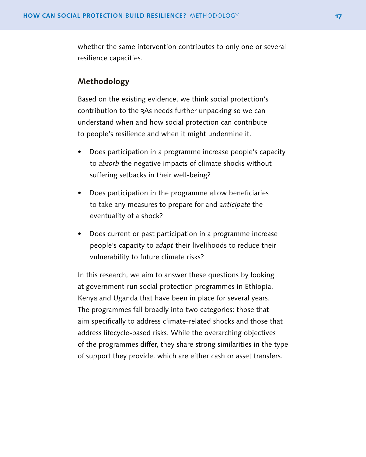whether the same intervention contributes to only one or several resilience capacities.

## **Methodology**

Based on the existing evidence, we think social protection's contribution to the 3As needs further unpacking so we can understand when and how social protection can contribute to people's resilience and when it might undermine it.

- Does participation in a programme increase people's capacity to *absorb* the negative impacts of climate shocks without suffering setbacks in their well-being?
- Does participation in the programme allow beneficiaries to take any measures to prepare for and *anticipate* the eventuality of a shock?
- Does current or past participation in a programme increase people's capacity to *adapt* their livelihoods to reduce their vulnerability to future climate risks?

In this research, we aim to answer these questions by looking at government-run social protection programmes in Ethiopia, Kenya and Uganda that have been in place for several years. The programmes fall broadly into two categories: those that aim specifically to address climate-related shocks and those that address lifecycle-based risks. While the overarching objectives of the programmes differ, they share strong similarities in the type of support they provide, which are either cash or asset transfers.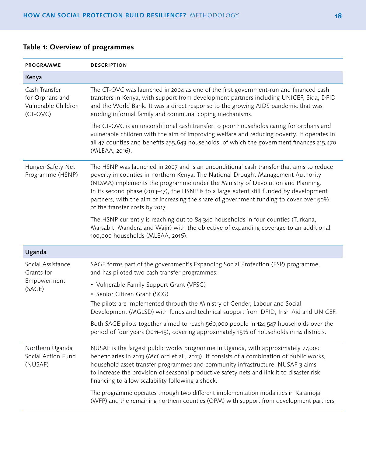| PROGRAMME                                                           | <b>DESCRIPTION</b>                                                                                                                                                                                                                                                                                                                                                                                                                                                                    |
|---------------------------------------------------------------------|---------------------------------------------------------------------------------------------------------------------------------------------------------------------------------------------------------------------------------------------------------------------------------------------------------------------------------------------------------------------------------------------------------------------------------------------------------------------------------------|
| Kenya                                                               |                                                                                                                                                                                                                                                                                                                                                                                                                                                                                       |
| Cash Transfer<br>for Orphans and<br>Vulnerable Children<br>(CT-OVC) | The CT-OVC was launched in 2004 as one of the first government-run and financed cash<br>transfers in Kenya, with support from development partners including UNICEF, Sida, DFID<br>and the World Bank. It was a direct response to the growing AIDS pandemic that was<br>eroding informal family and communal coping mechanisms.                                                                                                                                                      |
|                                                                     | The CT-OVC is an unconditional cash transfer to poor households caring for orphans and<br>vulnerable children with the aim of improving welfare and reducing poverty. It operates in<br>all 47 counties and benefits 255,643 households, of which the government finances 215,470<br>(MLEAA, 2016).                                                                                                                                                                                   |
| Hunger Safety Net<br>Programme (HSNP)                               | The HSNP was launched in 2007 and is an unconditional cash transfer that aims to reduce<br>poverty in counties in northern Kenya. The National Drought Management Authority<br>(NDMA) implements the programme under the Ministry of Devolution and Planning.<br>In its second phase (2013-17), the HSNP is to a large extent still funded by development<br>partners, with the aim of increasing the share of government funding to cover over 50%<br>of the transfer costs by 2017. |
|                                                                     | The HSNP currently is reaching out to 84,340 households in four counties (Turkana,<br>Marsabit, Mandera and Wajir) with the objective of expanding coverage to an additional<br>100,000 households (MLEAA, 2016).                                                                                                                                                                                                                                                                     |
| Uganda                                                              |                                                                                                                                                                                                                                                                                                                                                                                                                                                                                       |
| Social Assistance<br>Grants for                                     | SAGE forms part of the government's Expanding Social Protection (ESP) programme,<br>and has piloted two cash transfer programmes:                                                                                                                                                                                                                                                                                                                                                     |
| Empowerment<br>(SAGE)                                               | • Vulnerable Family Support Grant (VFSG)<br>• Senior Citizen Grant (SCG)                                                                                                                                                                                                                                                                                                                                                                                                              |
|                                                                     | The pilots are implemented through the Ministry of Gender, Labour and Social<br>Development (MGLSD) with funds and technical support from DFID, Irish Aid and UNICEF.                                                                                                                                                                                                                                                                                                                 |
|                                                                     | Both SAGE pilots together aimed to reach 560,000 people in 124,547 households over the<br>period of four years (2011-15), covering approximately 15% of households in 14 districts.                                                                                                                                                                                                                                                                                                   |
| Northern Uganda<br>Social Action Fund<br>(NUSAF)                    | NUSAF is the largest public works programme in Uganda, with approximately 77,000<br>beneficiaries in 2013 (McCord et al., 2013). It consists of a combination of public works,<br>household asset transfer programmes and community infrastructure. NUSAF 3 aims<br>to increase the provision of seasonal productive safety nets and link it to disaster risk<br>financing to allow scalability following a shock.                                                                    |
|                                                                     | The programme operates through two different implementation modalities in Karamoja<br>(WFP) and the remaining northern counties (OPM) with support from development partners.                                                                                                                                                                                                                                                                                                         |

## **Table 1: Overview of programmes**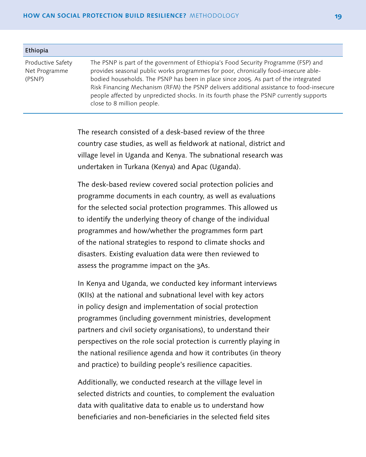| Ethiopia                                     |                                                                                                                                                                                                                                                                                                                                                                                                                                                                                     |
|----------------------------------------------|-------------------------------------------------------------------------------------------------------------------------------------------------------------------------------------------------------------------------------------------------------------------------------------------------------------------------------------------------------------------------------------------------------------------------------------------------------------------------------------|
| Productive Safety<br>Net Programme<br>(PSNP) | The PSNP is part of the government of Ethiopia's Food Security Programme (FSP) and<br>provides seasonal public works programmes for poor, chronically food-insecure able-<br>bodied households. The PSNP has been in place since 2005. As part of the integrated<br>Risk Financing Mechanism (RFM) the PSNP delivers additional assistance to food-insecure<br>people affected by unpredicted shocks. In its fourth phase the PSNP currently supports<br>close to 8 million people. |

The research consisted of a desk-based review of the three country case studies, as well as fieldwork at national, district and village level in Uganda and Kenya. The subnational research was undertaken in Turkana (Kenya) and Apac (Uganda).

The desk-based review covered social protection policies and programme documents in each country, as well as evaluations for the selected social protection programmes. This allowed us to identify the underlying theory of change of the individual programmes and how/whether the programmes form part of the national strategies to respond to climate shocks and disasters. Existing evaluation data were then reviewed to assess the programme impact on the 3As.

In Kenya and Uganda, we conducted key informant interviews (KIIs) at the national and subnational level with key actors in policy design and implementation of social protection programmes (including government ministries, development partners and civil society organisations), to understand their perspectives on the role social protection is currently playing in the national resilience agenda and how it contributes (in theory and practice) to building people's resilience capacities.

Additionally, we conducted research at the village level in selected districts and counties, to complement the evaluation data with qualitative data to enable us to understand how beneficiaries and non-beneficiaries in the selected field sites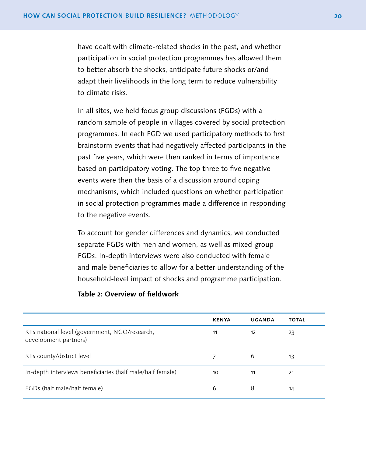have dealt with climate-related shocks in the past, and whether participation in social protection programmes has allowed them to better absorb the shocks, anticipate future shocks or/and adapt their livelihoods in the long term to reduce vulnerability to climate risks.

In all sites, we held focus group discussions (FGDs) with a random sample of people in villages covered by social protection programmes. In each FGD we used participatory methods to first brainstorm events that had negatively affected participants in the past five years, which were then ranked in terms of importance based on participatory voting. The top three to five negative events were then the basis of a discussion around coping mechanisms, which included questions on whether participation in social protection programmes made a difference in responding to the negative events.

To account for gender differences and dynamics, we conducted separate FGDs with men and women, as well as mixed-group FGDs. In-depth interviews were also conducted with female and male beneficiaries to allow for a better understanding of the household-level impact of shocks and programme participation.

#### **Table 2: Overview of fieldwork**

|                                                                         | <b>KENYA</b> | UGANDA | <b>TOTAL</b> |
|-------------------------------------------------------------------------|--------------|--------|--------------|
| KIIs national level (government, NGO/research,<br>development partners) | 11           | 12     | 23           |
| KIIs county/district level                                              |              | 6      | 13           |
| In-depth interviews beneficiaries (half male/half female)               | 10           | 11     | 21           |
| FGDs (half male/half female)                                            | 6            | 8      | 14           |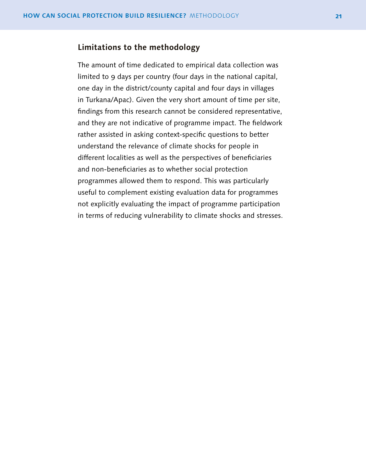## **Limitations to the methodology**

The amount of time dedicated to empirical data collection was limited to 9 days per country (four days in the national capital, one day in the district/county capital and four days in villages in Turkana/Apac). Given the very short amount of time per site, findings from this research cannot be considered representative, and they are not indicative of programme impact. The fieldwork rather assisted in asking context-specific questions to better understand the relevance of climate shocks for people in different localities as well as the perspectives of beneficiaries and non-beneficiaries as to whether social protection programmes allowed them to respond. This was particularly useful to complement existing evaluation data for programmes not explicitly evaluating the impact of programme participation in terms of reducing vulnerability to climate shocks and stresses.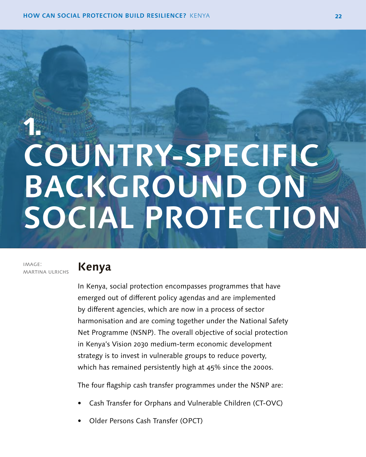# <span id="page-23-0"></span>**1. COUNTRY-SPECIFIC BACKGROUND ON SOCIAL PROTECTION**

image: martina ulrichs

# **Kenya**

In Kenya, social protection encompasses programmes that have emerged out of different policy agendas and are implemented by different agencies, which are now in a process of sector harmonisation and are coming together under the National Safety Net Programme (NSNP). The overall objective of social protection in Kenya's Vision 2030 medium-term economic development strategy is to invest in vulnerable groups to reduce poverty, which has remained persistently high at 45% since the 2000s.

The four flagship cash transfer programmes under the NSNP are:

- Cash Transfer for Orphans and Vulnerable Children (CT-OVC)
- Older Persons Cash Transfer (OPCT)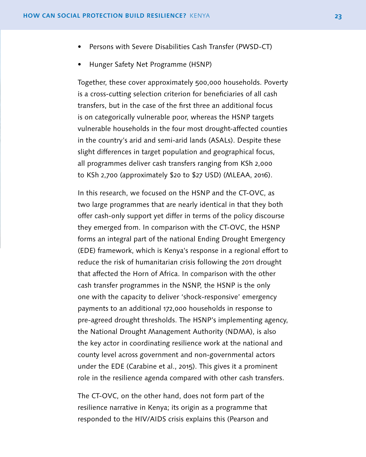- Persons with Severe Disabilities Cash Transfer (PWSD-CT)
- Hunger Safety Net Programme (HSNP)

Together, these cover approximately 500,000 households. Poverty is a cross-cutting selection criterion for beneficiaries of all cash transfers, but in the case of the first three an additional focus is on categorically vulnerable poor, whereas the HSNP targets vulnerable households in the four most drought-affected counties in the country's arid and semi-arid lands (ASALs). Despite these slight differences in target population and geographical focus, all programmes deliver cash transfers ranging from KSh 2,000 to KSh 2,700 (approximately \$20 to \$27 USD) (MLEAA, 2016).

In this research, we focused on the HSNP and the CT-OVC, as two large programmes that are nearly identical in that they both offer cash-only support yet differ in terms of the policy discourse they emerged from. In comparison with the CT-OVC, the HSNP forms an integral part of the national Ending Drought Emergency (EDE) framework, which is Kenya's response in a regional effort to reduce the risk of humanitarian crisis following the 2011 drought that affected the Horn of Africa. In comparison with the other cash transfer programmes in the NSNP, the HSNP is the only one with the capacity to deliver 'shock-responsive' emergency payments to an additional 172,000 households in response to pre-agreed drought thresholds. The HSNP's implementing agency, the National Drought Management Authority (NDMA), is also the key actor in coordinating resilience work at the national and county level across government and non-governmental actors under the EDE (Carabine et al., 2015). This gives it a prominent role in the resilience agenda compared with other cash transfers.

The CT-OVC, on the other hand, does not form part of the resilience narrative in Kenya; its origin as a programme that responded to the HIV/AIDS crisis explains this (Pearson and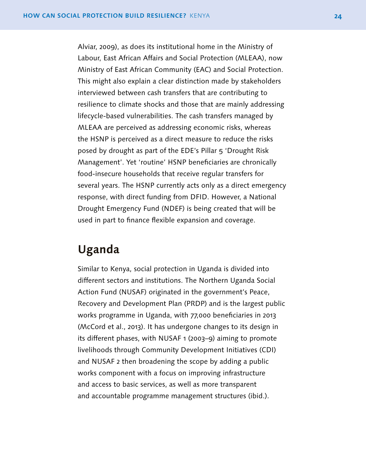<span id="page-25-0"></span>Alviar, 2009), as does its institutional home in the Ministry of Labour, East African Affairs and Social Protection (MLEAA), now Ministry of East African Community (EAC) and Social Protection. This might also explain a clear distinction made by stakeholders interviewed between cash transfers that are contributing to resilience to climate shocks and those that are mainly addressing lifecycle-based vulnerabilities. The cash transfers managed by MLEAA are perceived as addressing economic risks, whereas the HSNP is perceived as a direct measure to reduce the risks posed by drought as part of the EDE's Pillar 5 'Drought Risk Management'. Yet 'routine' HSNP beneficiaries are chronically food-insecure households that receive regular transfers for several years. The HSNP currently acts only as a direct emergency response, with direct funding from DFID. However, a National Drought Emergency Fund (NDEF) is being created that will be used in part to finance flexible expansion and coverage.

# **Uganda**

Similar to Kenya, social protection in Uganda is divided into different sectors and institutions. The Northern Uganda Social Action Fund (NUSAF) originated in the government's Peace, Recovery and Development Plan (PRDP) and is the largest public works programme in Uganda, with 77,000 beneficiaries in 2013 (McCord et al., 2013). It has undergone changes to its design in its different phases, with NUSAF 1 (2003–9) aiming to promote livelihoods through Community Development Initiatives (CDI) and NUSAF 2 then broadening the scope by adding a public works component with a focus on improving infrastructure and access to basic services, as well as more transparent and accountable programme management structures (ibid.).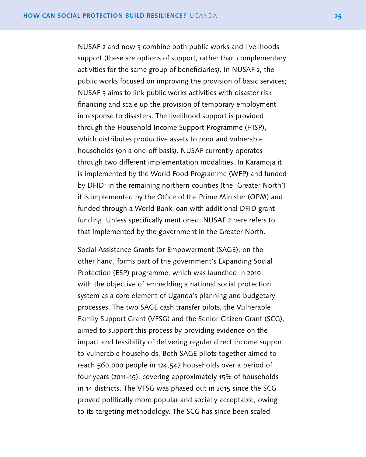NUSAF 2 and now 3 combine both public works and livelihoods support (these are options of support, rather than complementary activities for the same group of beneficiaries). In NUSAF 2, the public works focused on improving the provision of basic services; NUSAF 3 aims to link public works activities with disaster risk financing and scale up the provision of temporary employment in response to disasters. The livelihood support is provided through the Household Income Support Programme (HISP), which distributes productive assets to poor and vulnerable households (on a one-off basis). NUSAF currently operates through two different implementation modalities. In Karamoja it is implemented by the World Food Programme (WFP) and funded by DFID; in the remaining northern counties (the 'Greater North') it is implemented by the Office of the Prime Minister (OPM) and funded through a World Bank loan with additional DFID grant funding. Unless specifically mentioned, NUSAF 2 here refers to that implemented by the government in the Greater North.

Social Assistance Grants for Empowerment (SAGE), on the other hand, forms part of the government's Expanding Social Protection (ESP) programme, which was launched in 2010 with the objective of embedding a national social protection system as a core element of Uganda's planning and budgetary processes. The two SAGE cash transfer pilots, the Vulnerable Family Support Grant (VFSG) and the Senior Citizen Grant (SCG), aimed to support this process by providing evidence on the impact and feasibility of delivering regular direct income support to vulnerable households. Both SAGE pilots together aimed to reach 560,000 people in 124,547 households over a period of four years (2011–15), covering approximately 15% of households in 14 districts. The VFSG was phased out in 2015 since the SCG proved politically more popular and socially acceptable, owing to its targeting methodology. The SCG has since been scaled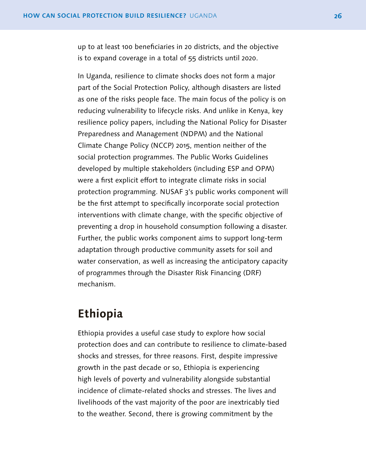<span id="page-27-0"></span>up to at least 100 beneficiaries in 20 districts, and the objective is to expand coverage in a total of 55 districts until 2020.

In Uganda, resilience to climate shocks does not form a major part of the Social Protection Policy, although disasters are listed as one of the risks people face. The main focus of the policy is on reducing vulnerability to lifecycle risks. And unlike in Kenya, key resilience policy papers, including the National Policy for Disaster Preparedness and Management (NDPM) and the National Climate Change Policy (NCCP) 2015, mention neither of the social protection programmes. The Public Works Guidelines developed by multiple stakeholders (including ESP and OPM) were a first explicit effort to integrate climate risks in social protection programming. NUSAF 3's public works component will be the first attempt to specifically incorporate social protection interventions with climate change, with the specific objective of preventing a drop in household consumption following a disaster. Further, the public works component aims to support long-term adaptation through productive community assets for soil and water conservation, as well as increasing the anticipatory capacity of programmes through the Disaster Risk Financing (DRF) mechanism.

## **Ethiopia**

Ethiopia provides a useful case study to explore how social protection does and can contribute to resilience to climate-based shocks and stresses, for three reasons. First, despite impressive growth in the past decade or so, Ethiopia is experiencing high levels of poverty and vulnerability alongside substantial incidence of climate-related shocks and stresses. The lives and livelihoods of the vast majority of the poor are inextricably tied to the weather. Second, there is growing commitment by the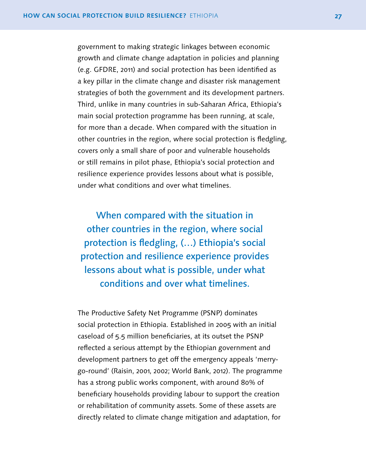government to making strategic linkages between economic growth and climate change adaptation in policies and planning (e.g. GFDRE, 2011) and social protection has been identified as a key pillar in the climate change and disaster risk management strategies of both the government and its development partners. Third, unlike in many countries in sub-Saharan Africa, Ethiopia's main social protection programme has been running, at scale, for more than a decade. When compared with the situation in other countries in the region, where social protection is fledgling, covers only a small share of poor and vulnerable households or still remains in pilot phase, Ethiopia's social protection and resilience experience provides lessons about what is possible, under what conditions and over what timelines.

When compared with the situation in other countries in the region, where social protection is fledgling, (…) Ethiopia's social protection and resilience experience provides lessons about what is possible, under what conditions and over what timelines.

The Productive Safety Net Programme (PSNP) dominates social protection in Ethiopia. Established in 2005 with an initial caseload of 5.5 million beneficiaries, at its outset the PSNP reflected a serious attempt by the Ethiopian government and development partners to get off the emergency appeals 'merrygo-round' (Raisin, 2001, 2002; World Bank, 2012). The programme has a strong public works component, with around 80% of beneficiary households providing labour to support the creation or rehabilitation of community assets. Some of these assets are directly related to climate change mitigation and adaptation, for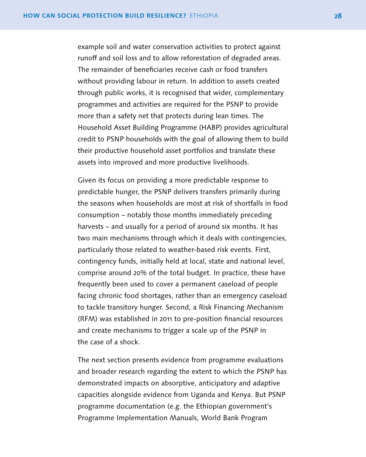example soil and water conservation activities to protect against runoff and soil loss and to allow reforestation of degraded areas. The remainder of beneficiaries receive cash or food transfers without providing labour in return. In addition to assets created through public works, it is recognised that wider, complementary programmes and activities are required for the PSNP to provide more than a safety net that protects during lean times. The Household Asset Building Programme (HABP) provides agricultural credit to PSNP households with the goal of allowing them to build their productive household asset portfolios and translate these assets into improved and more productive livelihoods.

Given its focus on providing a more predictable response to predictable hunger, the PSNP delivers transfers primarily during the seasons when households are most at risk of shortfalls in food consumption – notably those months immediately preceding harvests – and usually for a period of around six months. It has two main mechanisms through which it deals with contingencies, particularly those related to weather-based risk events. First, contingency funds, initially held at local, state and national level, comprise around 20% of the total budget. In practice, these have frequently been used to cover a permanent caseload of people facing chronic food shortages, rather than an emergency caseload to tackle transitory hunger. Second, a Risk Financing Mechanism (RFM) was established in 2011 to pre-position financial resources and create mechanisms to trigger a scale up of the PSNP in the case of a shock.

The next section presents evidence from programme evaluations and broader research regarding the extent to which the PSNP has demonstrated impacts on absorptive, anticipatory and adaptive capacities alongside evidence from Uganda and Kenya. But PSNP programme documentation (e.g. the Ethiopian government's Programme Implementation Manuals, World Bank Program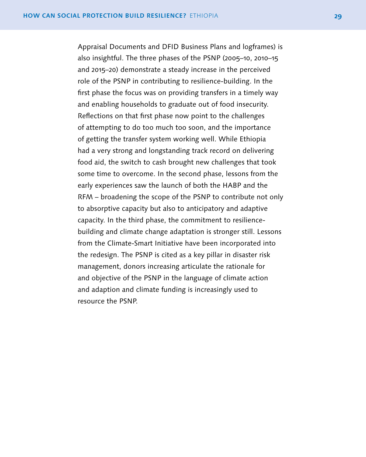Appraisal Documents and DFID Business Plans and logframes) is also insightful. The three phases of the PSNP (2005–10, 2010–15 and 2015–20) demonstrate a steady increase in the perceived role of the PSNP in contributing to resilience-building. In the first phase the focus was on providing transfers in a timely way and enabling households to graduate out of food insecurity. Reflections on that first phase now point to the challenges of attempting to do too much too soon, and the importance of getting the transfer system working well. While Ethiopia had a very strong and longstanding track record on delivering food aid, the switch to cash brought new challenges that took some time to overcome. In the second phase, lessons from the early experiences saw the launch of both the HABP and the RFM – broadening the scope of the PSNP to contribute not only to absorptive capacity but also to anticipatory and adaptive capacity. In the third phase, the commitment to resiliencebuilding and climate change adaptation is stronger still. Lessons from the Climate-Smart Initiative have been incorporated into the redesign. The PSNP is cited as a key pillar in disaster risk management, donors increasing articulate the rationale for and objective of the PSNP in the language of climate action and adaption and climate funding is increasingly used to resource the PSNP.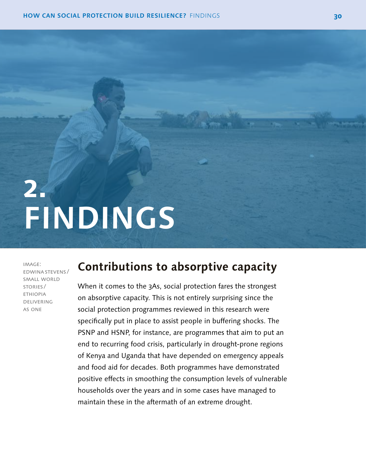# <span id="page-31-0"></span>**2. FINDINGS**

image: edwinastevens / small world stories / **ETHIOPIA** delivering as one

# **Contributions to absorptive capacity**

When it comes to the 3As, social protection fares the strongest on absorptive capacity. This is not entirely surprising since the social protection programmes reviewed in this research were specifically put in place to assist people in buffering shocks. The PSNP and HSNP, for instance, are programmes that aim to put an end to recurring food crisis, particularly in drought-prone regions of Kenya and Uganda that have depended on emergency appeals and food aid for decades. Both programmes have demonstrated positive effects in smoothing the consumption levels of vulnerable households over the years and in some cases have managed to maintain these in the aftermath of an extreme drought.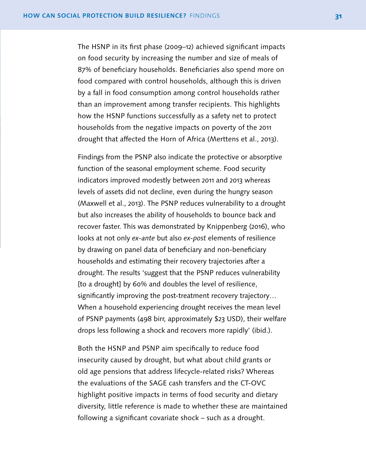The HSNP in its first phase (2009–12) achieved significant impacts on food security by increasing the number and size of meals of 87% of beneficiary households. Beneficiaries also spend more on food compared with control households, although this is driven by a fall in food consumption among control households rather than an improvement among transfer recipients. This highlights how the HSNP functions successfully as a safety net to protect households from the negative impacts on poverty of the 2011 drought that affected the Horn of Africa (Merttens et al., 2013).

Findings from the PSNP also indicate the protective or absorptive function of the seasonal employment scheme. Food security indicators improved modestly between 2011 and 2013 whereas levels of assets did not decline, even during the hungry season (Maxwell et al., 2013). The PSNP reduces vulnerability to a drought but also increases the ability of households to bounce back and recover faster. This was demonstrated by Knippenberg (2016), who looks at not only *ex-ante* but also *ex-post* elements of resilience by drawing on panel data of beneficiary and non-beneficiary households and estimating their recovery trajectories after a drought. The results 'suggest that the PSNP reduces vulnerability [to a drought] by 60% and doubles the level of resilience, significantly improving the post-treatment recovery trajectory... When a household experiencing drought receives the mean level of PSNP payments (498 birr, approximately \$23 USD), their welfare drops less following a shock and recovers more rapidly' (ibid.).

Both the HSNP and PSNP aim specifically to reduce food insecurity caused by drought, but what about child grants or old age pensions that address lifecycle-related risks? Whereas the evaluations of the SAGE cash transfers and the CT-OVC highlight positive impacts in terms of food security and dietary diversity, little reference is made to whether these are maintained following a significant covariate shock – such as a drought.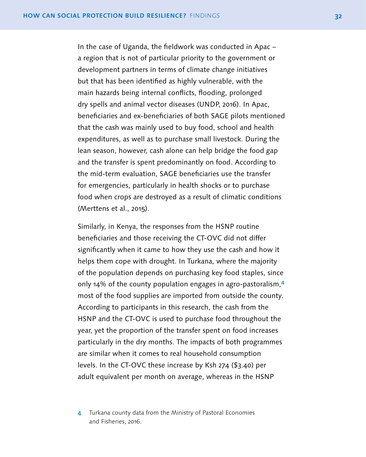In the case of Uganda, the fieldwork was conducted in Apac – a region that is not of particular priority to the government or development partners in terms of climate change initiatives but that has been identified as highly vulnerable, with the main hazards being internal conflicts, flooding, prolonged dry spells and animal vector diseases (UNDP, 2016). In Apac, beneficiaries and ex-beneficiaries of both SAGE pilots mentioned that the cash was mainly used to buy food, school and health expenditures, as well as to purchase small livestock. During the lean season, however, cash alone can help bridge the food gap and the transfer is spent predominantly on food. According to the mid-term evaluation, SAGE beneficiaries use the transfer for emergencies, particularly in health shocks or to purchase food when crops are destroyed as a result of climatic conditions (Merttens et al., 2015).

Similarly, in Kenya, the responses from the HSNP routine beneficiaries and those receiving the CT-OVC did not differ significantly when it came to how they use the cash and how it helps them cope with drought. In Turkana, where the majority of the population depends on purchasing key food staples, since only 14% of the county population engages in agro-pastoralism,<sup>4</sup> most of the food supplies are imported from outside the county. According to participants in this research, the cash from the HSNP and the CT-OVC is used to purchase food throughout the year, yet the proportion of the transfer spent on food increases particularly in the dry months. The impacts of both programmes are similar when it comes to real household consumption levels. In the CT-OVC these increase by Ksh 274 (\$3.40) per adult equivalent per month on average, whereas in the HSNP

4 Turkana county data from the Ministry of Pastoral Economies and Fisheries, 2016.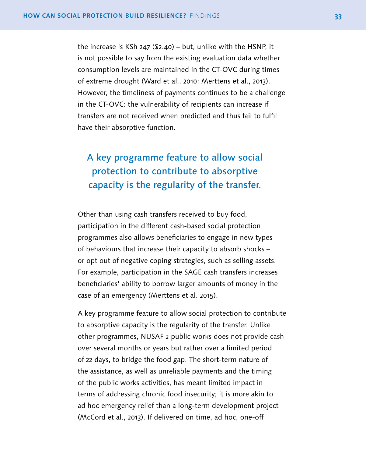the increase is KSh 247 (\$2.40) – but, unlike with the HSNP, it is not possible to say from the existing evaluation data whether consumption levels are maintained in the CT-OVC during times of extreme drought (Ward et al., 2010; Merttens et al., 2013). However, the timeliness of payments continues to be a challenge in the CT-OVC: the vulnerability of recipients can increase if transfers are not received when predicted and thus fail to fulfil have their absorptive function.

# A key programme feature to allow social protection to contribute to absorptive capacity is the regularity of the transfer.

Other than using cash transfers received to buy food, participation in the different cash-based social protection programmes also allows beneficiaries to engage in new types of behaviours that increase their capacity to absorb shocks – or opt out of negative coping strategies, such as selling assets. For example, participation in the SAGE cash transfers increases beneficiaries' ability to borrow larger amounts of money in the case of an emergency (Merttens et al. 2015).

A key programme feature to allow social protection to contribute to absorptive capacity is the regularity of the transfer. Unlike other programmes, NUSAF 2 public works does not provide cash over several months or years but rather over a limited period of 22 days, to bridge the food gap. The short-term nature of the assistance, as well as unreliable payments and the timing of the public works activities, has meant limited impact in terms of addressing chronic food insecurity; it is more akin to ad hoc emergency relief than a long-term development project (McCord et al., 2013). If delivered on time, ad hoc, one-off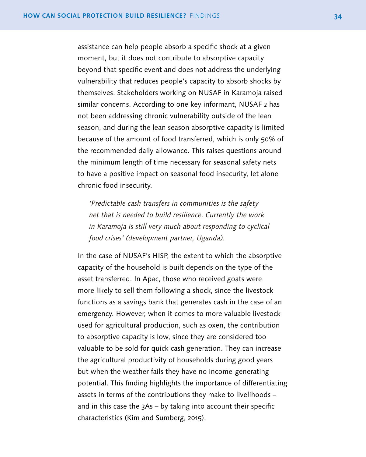assistance can help people absorb a specific shock at a given moment, but it does not contribute to absorptive capacity beyond that specific event and does not address the underlying vulnerability that reduces people's capacity to absorb shocks by themselves. Stakeholders working on NUSAF in Karamoja raised similar concerns. According to one key informant, NUSAF 2 has not been addressing chronic vulnerability outside of the lean season, and during the lean season absorptive capacity is limited because of the amount of food transferred, which is only 50% of the recommended daily allowance. This raises questions around the minimum length of time necessary for seasonal safety nets to have a positive impact on seasonal food insecurity, let alone chronic food insecurity.

*'Predictable cash transfers in communities is the safety net that is needed to build resilience. Currently the work in Karamoja is still very much about responding to cyclical food crises' (development partner, Uganda).*

In the case of NUSAF's HISP, the extent to which the absorptive capacity of the household is built depends on the type of the asset transferred. In Apac, those who received goats were more likely to sell them following a shock, since the livestock functions as a savings bank that generates cash in the case of an emergency. However, when it comes to more valuable livestock used for agricultural production, such as oxen, the contribution to absorptive capacity is low, since they are considered too valuable to be sold for quick cash generation. They can increase the agricultural productivity of households during good years but when the weather fails they have no income-generating potential. This finding highlights the importance of differentiating assets in terms of the contributions they make to livelihoods – and in this case the 3As – by taking into account their specific characteristics (Kim and Sumberg, 2015).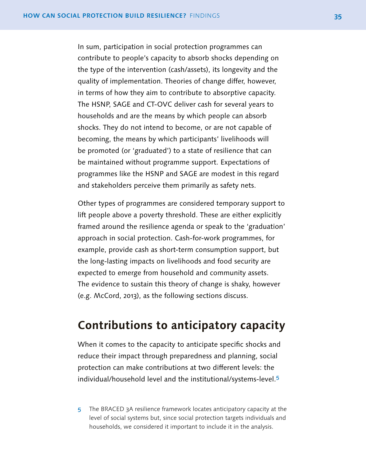<span id="page-36-0"></span>In sum, participation in social protection programmes can contribute to people's capacity to absorb shocks depending on the type of the intervention (cash/assets), its longevity and the quality of implementation. Theories of change differ, however, in terms of how they aim to contribute to absorptive capacity. The HSNP, SAGE and CT-OVC deliver cash for several years to households and are the means by which people can absorb shocks. They do not intend to become, or are not capable of becoming, the means by which participants' livelihoods will be promoted (or 'graduated') to a state of resilience that can be maintained without programme support. Expectations of programmes like the HSNP and SAGE are modest in this regard and stakeholders perceive them primarily as safety nets.

Other types of programmes are considered temporary support to lift people above a poverty threshold. These are either explicitly framed around the resilience agenda or speak to the 'graduation' approach in social protection. Cash-for-work programmes, for example, provide cash as short-term consumption support, but the long-lasting impacts on livelihoods and food security are expected to emerge from household and community assets. The evidence to sustain this theory of change is shaky, however (e.g. McCord, 2013), as the following sections discuss.

## **Contributions to anticipatory capacity**

When it comes to the capacity to anticipate specific shocks and reduce their impact through preparedness and planning, social protection can make contributions at two different levels: the individual/household level and the institutional/systems-level.<sup>5</sup>

5 The BRACED 3A resilience framework locates anticipatory capacity at the level of social systems but, since social protection targets individuals and households, we considered it important to include it in the analysis.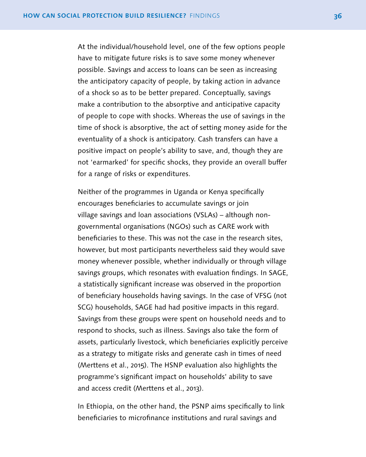At the individual/household level, one of the few options people have to mitigate future risks is to save some money whenever possible. Savings and access to loans can be seen as increasing the anticipatory capacity of people, by taking action in advance of a shock so as to be better prepared. Conceptually, savings make a contribution to the absorptive and anticipative capacity of people to cope with shocks. Whereas the use of savings in the time of shock is absorptive, the act of setting money aside for the eventuality of a shock is anticipatory. Cash transfers can have a positive impact on people's ability to save, and, though they are not 'earmarked' for specific shocks, they provide an overall buffer for a range of risks or expenditures.

Neither of the programmes in Uganda or Kenya specifically encourages beneficiaries to accumulate savings or join village savings and loan associations (VSLAs) – although nongovernmental organisations (NGOs) such as CARE work with beneficiaries to these. This was not the case in the research sites, however, but most participants nevertheless said they would save money whenever possible, whether individually or through village savings groups, which resonates with evaluation findings. In SAGE, a statistically significant increase was observed in the proportion of beneficiary households having savings. In the case of VFSG (not SCG) households, SAGE had had positive impacts in this regard. Savings from these groups were spent on household needs and to respond to shocks, such as illness. Savings also take the form of assets, particularly livestock, which beneficiaries explicitly perceive as a strategy to mitigate risks and generate cash in times of need (Merttens et al., 2015). The HSNP evaluation also highlights the programme's significant impact on households' ability to save and access credit (Merttens et al., 2013).

In Ethiopia, on the other hand, the PSNP aims specifically to link beneficiaries to microfinance institutions and rural savings and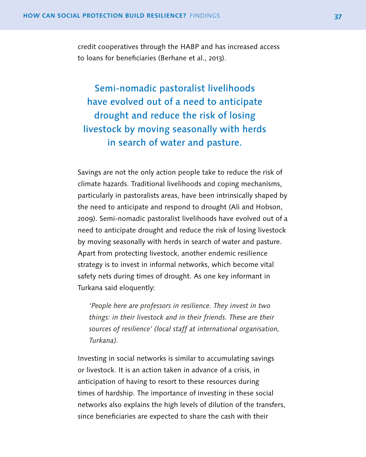credit cooperatives through the HABP and has increased access to loans for beneficiaries (Berhane et al., 2013).

Semi-nomadic pastoralist livelihoods have evolved out of a need to anticipate drought and reduce the risk of losing livestock by moving seasonally with herds in search of water and pasture.

Savings are not the only action people take to reduce the risk of climate hazards. Traditional livelihoods and coping mechanisms, particularly in pastoralists areas, have been intrinsically shaped by the need to anticipate and respond to drought (Ali and Hobson, 2009). Semi-nomadic pastoralist livelihoods have evolved out of a need to anticipate drought and reduce the risk of losing livestock by moving seasonally with herds in search of water and pasture. Apart from protecting livestock, another endemic resilience strategy is to invest in informal networks, which become vital safety nets during times of drought. As one key informant in Turkana said eloquently:

*'People here are professors in resilience. They invest in two things: in their livestock and in their friends. These are their sources of resilience' (local staff at international organisation, Turkana).*

Investing in social networks is similar to accumulating savings or livestock. It is an action taken in advance of a crisis, in anticipation of having to resort to these resources during times of hardship. The importance of investing in these social networks also explains the high levels of dilution of the transfers, since beneficiaries are expected to share the cash with their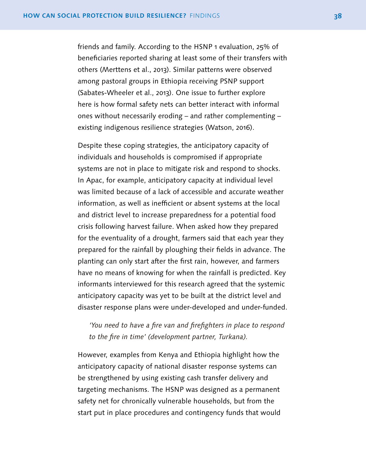friends and family. According to the HSNP 1 evaluation, 25% of beneficiaries reported sharing at least some of their transfers with others (Merttens et al., 2013). Similar patterns were observed among pastoral groups in Ethiopia receiving PSNP support (Sabates-Wheeler et al., 2013). One issue to further explore here is how formal safety nets can better interact with informal ones without necessarily eroding – and rather complementing – existing indigenous resilience strategies (Watson, 2016).

Despite these coping strategies, the anticipatory capacity of individuals and households is compromised if appropriate systems are not in place to mitigate risk and respond to shocks. In Apac, for example, anticipatory capacity at individual level was limited because of a lack of accessible and accurate weather information, as well as inefficient or absent systems at the local and district level to increase preparedness for a potential food crisis following harvest failure. When asked how they prepared for the eventuality of a drought, farmers said that each year they prepared for the rainfall by ploughing their fields in advance. The planting can only start after the first rain, however, and farmers have no means of knowing for when the rainfall is predicted. Key informants interviewed for this research agreed that the systemic anticipatory capacity was yet to be built at the district level and disaster response plans were under-developed and under-funded.

## *'You need to have a fire van and firefighters in place to respond to the fire in time' (development partner, Turkana).*

However, examples from Kenya and Ethiopia highlight how the anticipatory capacity of national disaster response systems can be strengthened by using existing cash transfer delivery and targeting mechanisms. The HSNP was designed as a permanent safety net for chronically vulnerable households, but from the start put in place procedures and contingency funds that would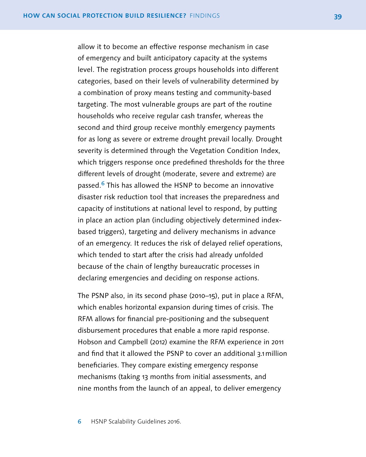allow it to become an effective response mechanism in case of emergency and built anticipatory capacity at the systems level. The registration process groups households into different categories, based on their levels of vulnerability determined by a combination of proxy means testing and community-based targeting. The most vulnerable groups are part of the routine households who receive regular cash transfer, whereas the second and third group receive monthly emergency payments for as long as severe or extreme drought prevail locally. Drought severity is determined through the Vegetation Condition Index, which triggers response once predefined thresholds for the three different levels of drought (moderate, severe and extreme) are passed.<sup>6</sup> This has allowed the HSNP to become an innovative disaster risk reduction tool that increases the preparedness and capacity of institutions at national level to respond, by putting in place an action plan (including objectively determined indexbased triggers), targeting and delivery mechanisms in advance of an emergency. It reduces the risk of delayed relief operations, which tended to start after the crisis had already unfolded because of the chain of lengthy bureaucratic processes in declaring emergencies and deciding on response actions.

The PSNP also, in its second phase (2010–15), put in place a RFM, which enables horizontal expansion during times of crisis. The RFM allows for financial pre-positioning and the subsequent disbursement procedures that enable a more rapid response. Hobson and Campbell (2012) examine the RFM experience in 2011 and find that it allowed the PSNP to cover an additional 3.1million beneficiaries. They compare existing emergency response mechanisms (taking 13 months from initial assessments, and nine months from the launch of an appeal, to deliver emergency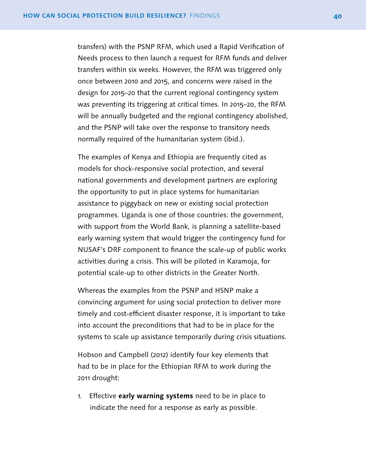transfers) with the PSNP RFM, which used a Rapid Verification of Needs process to then launch a request for RFM funds and deliver transfers within six weeks. However, the RFM was triggered only once between 2010 and 2015, and concerns were raised in the design for 2015–20 that the current regional contingency system was preventing its triggering at critical times. In 2015–20, the RFM will be annually budgeted and the regional contingency abolished, and the PSNP will take over the response to transitory needs normally required of the humanitarian system (ibid.).

The examples of Kenya and Ethiopia are frequently cited as models for shock-responsive social protection, and several national governments and development partners are exploring the opportunity to put in place systems for humanitarian assistance to piggyback on new or existing social protection programmes. Uganda is one of those countries: the government, with support from the World Bank, is planning a satellite-based early warning system that would trigger the contingency fund for NUSAF's DRF component to finance the scale-up of public works activities during a crisis. This will be piloted in Karamoja, for potential scale-up to other districts in the Greater North.

Whereas the examples from the PSNP and HSNP make a convincing argument for using social protection to deliver more timely and cost-efficient disaster response, it is important to take into account the preconditions that had to be in place for the systems to scale up assistance temporarily during crisis situations.

Hobson and Campbell (2012) identify four key elements that had to be in place for the Ethiopian RFM to work during the 2011 drought:

1. Effective **early warning systems** need to be in place to indicate the need for a response as early as possible.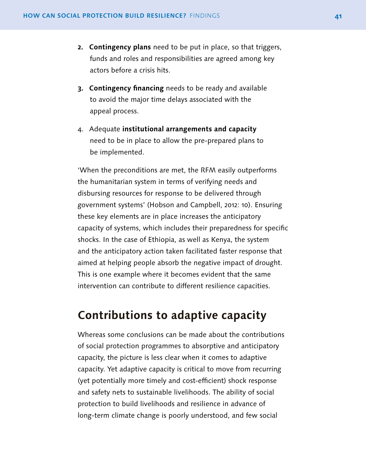- <span id="page-42-0"></span>**2. Contingency plans** need to be put in place, so that triggers, funds and roles and responsibilities are agreed among key actors before a crisis hits.
- **3. Contingency financing** needs to be ready and available to avoid the major time delays associated with the appeal process.
- 4. Adequate **institutional arrangements and capacity** need to be in place to allow the pre-prepared plans to be implemented.

'When the preconditions are met, the RFM easily outperforms the humanitarian system in terms of verifying needs and disbursing resources for response to be delivered through government systems' (Hobson and Campbell, 2012: 10). Ensuring these key elements are in place increases the anticipatory capacity of systems, which includes their preparedness for specific shocks. In the case of Ethiopia, as well as Kenya, the system and the anticipatory action taken facilitated faster response that aimed at helping people absorb the negative impact of drought. This is one example where it becomes evident that the same intervention can contribute to different resilience capacities.

## **Contributions to adaptive capacity**

Whereas some conclusions can be made about the contributions of social protection programmes to absorptive and anticipatory capacity, the picture is less clear when it comes to adaptive capacity. Yet adaptive capacity is critical to move from recurring (yet potentially more timely and cost-efficient) shock response and safety nets to sustainable livelihoods. The ability of social protection to build livelihoods and resilience in advance of long-term climate change is poorly understood, and few social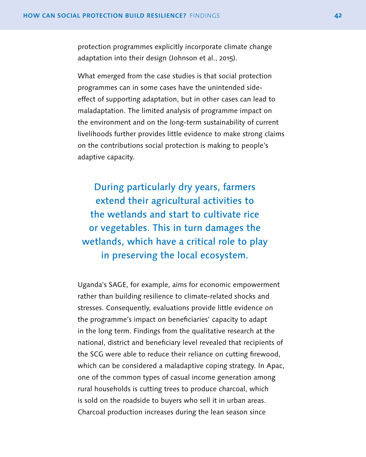protection programmes explicitly incorporate climate change adaptation into their design (Johnson et al., 2015).

What emerged from the case studies is that social protection programmes can in some cases have the unintended sideeffect of supporting adaptation, but in other cases can lead to maladaptation. The limited analysis of programme impact on the environment and on the long-term sustainability of current livelihoods further provides little evidence to make strong claims on the contributions social protection is making to people's adaptive capacity.

During particularly dry years, farmers extend their agricultural activities to the wetlands and start to cultivate rice or vegetables. This in turn damages the wetlands, which have a critical role to play in preserving the local ecosystem.

Uganda's SAGE, for example, aims for economic empowerment rather than building resilience to climate-related shocks and stresses. Consequently, evaluations provide little evidence on the programme's impact on beneficiaries' capacity to adapt in the long term. Findings from the qualitative research at the national, district and beneficiary level revealed that recipients of the SCG were able to reduce their reliance on cutting firewood, which can be considered a maladaptive coping strategy. In Apac, one of the common types of casual income generation among rural households is cutting trees to produce charcoal, which is sold on the roadside to buyers who sell it in urban areas. Charcoal production increases during the lean season since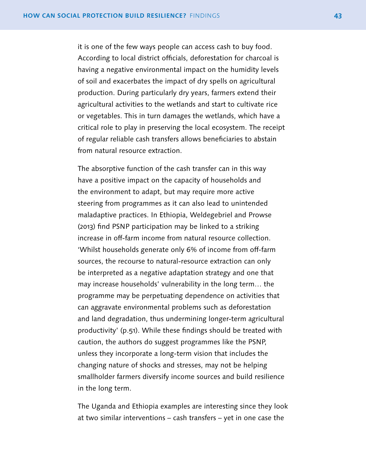it is one of the few ways people can access cash to buy food. According to local district officials, deforestation for charcoal is having a negative environmental impact on the humidity levels of soil and exacerbates the impact of dry spells on agricultural production. During particularly dry years, farmers extend their agricultural activities to the wetlands and start to cultivate rice or vegetables. This in turn damages the wetlands, which have a critical role to play in preserving the local ecosystem. The receipt of regular reliable cash transfers allows beneficiaries to abstain from natural resource extraction.

The absorptive function of the cash transfer can in this way have a positive impact on the capacity of households and the environment to adapt, but may require more active steering from programmes as it can also lead to unintended maladaptive practices. In Ethiopia, Weldegebriel and Prowse (2013) find PSNP participation may be linked to a striking increase in off-farm income from natural resource collection. 'Whilst households generate only 6% of income from off-farm sources, the recourse to natural-resource extraction can only be interpreted as a negative adaptation strategy and one that may increase households' vulnerability in the long term… the programme may be perpetuating dependence on activities that can aggravate environmental problems such as deforestation and land degradation, thus undermining longer-term agricultural productivity' (p.51). While these findings should be treated with caution, the authors do suggest programmes like the PSNP, unless they incorporate a long-term vision that includes the changing nature of shocks and stresses, may not be helping smallholder farmers diversify income sources and build resilience in the long term.

The Uganda and Ethiopia examples are interesting since they look at two similar interventions – cash transfers – yet in one case the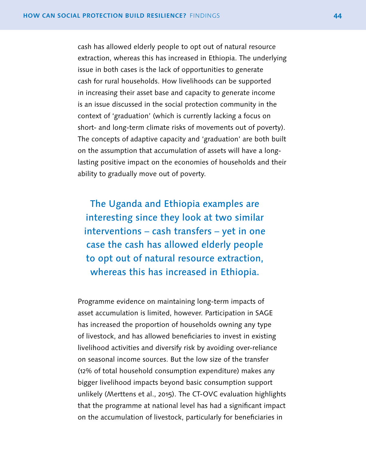cash has allowed elderly people to opt out of natural resource extraction, whereas this has increased in Ethiopia. The underlying issue in both cases is the lack of opportunities to generate cash for rural households. How livelihoods can be supported in increasing their asset base and capacity to generate income is an issue discussed in the social protection community in the context of 'graduation' (which is currently lacking a focus on short- and long-term climate risks of movements out of poverty). The concepts of adaptive capacity and 'graduation' are both built on the assumption that accumulation of assets will have a longlasting positive impact on the economies of households and their ability to gradually move out of poverty.

The Uganda and Ethiopia examples are interesting since they look at two similar interventions – cash transfers – yet in one case the cash has allowed elderly people to opt out of natural resource extraction, whereas this has increased in Ethiopia.

Programme evidence on maintaining long-term impacts of asset accumulation is limited, however. Participation in SAGE has increased the proportion of households owning any type of livestock, and has allowed beneficiaries to invest in existing livelihood activities and diversify risk by avoiding over-reliance on seasonal income sources. But the low size of the transfer (12% of total household consumption expenditure) makes any bigger livelihood impacts beyond basic consumption support unlikely (Merttens et al., 2015). The CT-OVC evaluation highlights that the programme at national level has had a significant impact on the accumulation of livestock, particularly for beneficiaries in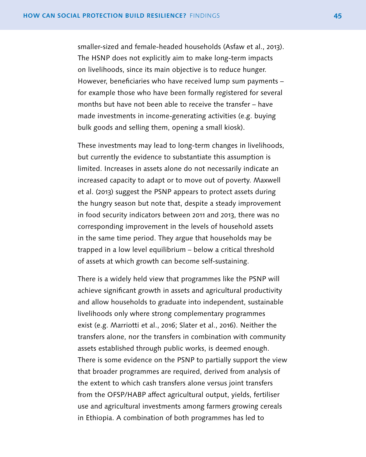smaller-sized and female-headed households (Asfaw et al., 2013). The HSNP does not explicitly aim to make long-term impacts on livelihoods, since its main objective is to reduce hunger. However, beneficiaries who have received lump sum payments – for example those who have been formally registered for several months but have not been able to receive the transfer – have made investments in income-generating activities (e.g. buying bulk goods and selling them, opening a small kiosk).

These investments may lead to long-term changes in livelihoods, but currently the evidence to substantiate this assumption is limited. Increases in assets alone do not necessarily indicate an increased capacity to adapt or to move out of poverty. Maxwell et al. (2013) suggest the PSNP appears to protect assets during the hungry season but note that, despite a steady improvement in food security indicators between 2011 and 2013, there was no corresponding improvement in the levels of household assets in the same time period. They argue that households may be trapped in a low level equilibrium – below a critical threshold of assets at which growth can become self-sustaining.

There is a widely held view that programmes like the PSNP will achieve significant growth in assets and agricultural productivity and allow households to graduate into independent, sustainable livelihoods only where strong complementary programmes exist (e.g. Marriotti et al., 2016; Slater et al., 2016). Neither the transfers alone, nor the transfers in combination with community assets established through public works, is deemed enough. There is some evidence on the PSNP to partially support the view that broader programmes are required, derived from analysis of the extent to which cash transfers alone versus joint transfers from the OFSP/HABP affect agricultural output, yields, fertiliser use and agricultural investments among farmers growing cereals in Ethiopia. A combination of both programmes has led to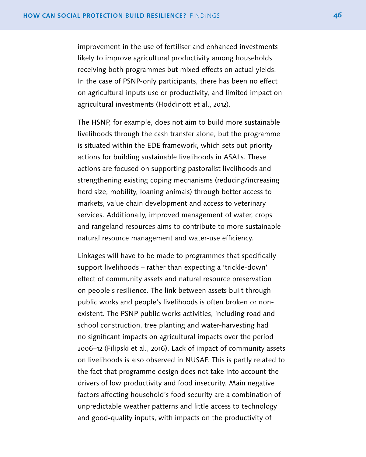improvement in the use of fertiliser and enhanced investments likely to improve agricultural productivity among households receiving both programmes but mixed effects on actual yields. In the case of PSNP-only participants, there has been no effect on agricultural inputs use or productivity, and limited impact on agricultural investments (Hoddinott et al., 2012).

The HSNP, for example, does not aim to build more sustainable livelihoods through the cash transfer alone, but the programme is situated within the EDE framework, which sets out priority actions for building sustainable livelihoods in ASALs. These actions are focused on supporting pastoralist livelihoods and strengthening existing coping mechanisms (reducing/increasing herd size, mobility, loaning animals) through better access to markets, value chain development and access to veterinary services. Additionally, improved management of water, crops and rangeland resources aims to contribute to more sustainable natural resource management and water-use efficiency.

Linkages will have to be made to programmes that specifically support livelihoods – rather than expecting a 'trickle-down' effect of community assets and natural resource preservation on people's resilience. The link between assets built through public works and people's livelihoods is often broken or nonexistent. The PSNP public works activities, including road and school construction, tree planting and water-harvesting had no significant impacts on agricultural impacts over the period 2006–12 (Filipski et al., 2016). Lack of impact of community assets on livelihoods is also observed in NUSAF. This is partly related to the fact that programme design does not take into account the drivers of low productivity and food insecurity. Main negative factors affecting household's food security are a combination of unpredictable weather patterns and little access to technology and good-quality inputs, with impacts on the productivity of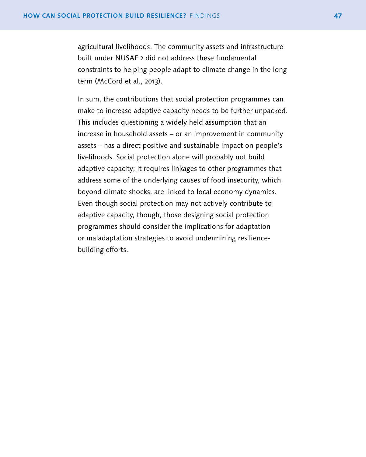agricultural livelihoods. The community assets and infrastructure built under NUSAF 2 did not address these fundamental constraints to helping people adapt to climate change in the long term (McCord et al., 2013).

In sum, the contributions that social protection programmes can make to increase adaptive capacity needs to be further unpacked. This includes questioning a widely held assumption that an increase in household assets – or an improvement in community assets – has a direct positive and sustainable impact on people's livelihoods. Social protection alone will probably not build adaptive capacity; it requires linkages to other programmes that address some of the underlying causes of food insecurity, which, beyond climate shocks, are linked to local economy dynamics. Even though social protection may not actively contribute to adaptive capacity, though, those designing social protection programmes should consider the implications for adaptation or maladaptation strategies to avoid undermining resiliencebuilding efforts.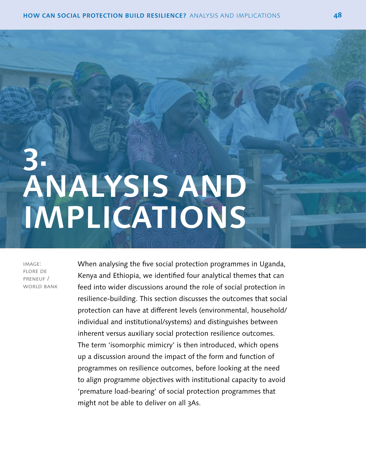# <span id="page-49-0"></span>**3. ANALYSIS AND IMPLICATIONS**

image: flore de preneuf / WORLD BANK When analysing the five social protection programmes in Uganda, Kenya and Ethiopia, we identified four analytical themes that can feed into wider discussions around the role of social protection in resilience-building. This section discusses the outcomes that social protection can have at different levels (environmental, household/ individual and institutional/systems) and distinguishes between inherent versus auxiliary social protection resilience outcomes. The term 'isomorphic mimicry' is then introduced, which opens up a discussion around the impact of the form and function of programmes on resilience outcomes, before looking at the need to align programme objectives with institutional capacity to avoid 'premature load-bearing' of social protection programmes that might not be able to deliver on all 3As.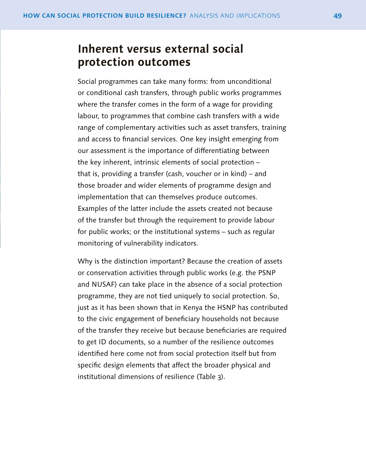## <span id="page-50-0"></span>**Inherent versus external social protection outcomes**

Social programmes can take many forms: from unconditional or conditional cash transfers, through public works programmes where the transfer comes in the form of a wage for providing labour, to programmes that combine cash transfers with a wide range of complementary activities such as asset transfers, training and access to financial services. One key insight emerging from our assessment is the importance of differentiating between the key inherent, intrinsic elements of social protection – that is, providing a transfer (cash, voucher or in kind) – and those broader and wider elements of programme design and implementation that can themselves produce outcomes. Examples of the latter include the assets created not because of the transfer but through the requirement to provide labour for public works; or the institutional systems – such as regular monitoring of vulnerability indicators.

Why is the distinction important? Because the creation of assets or conservation activities through public works (e.g. the PSNP and NUSAF) can take place in the absence of a social protection programme, they are not tied uniquely to social protection. So, just as it has been shown that in Kenya the HSNP has contributed to the civic engagement of beneficiary households not because of the transfer they receive but because beneficiaries are required to get ID documents, so a number of the resilience outcomes identified here come not from social protection itself but from specific design elements that affect the broader physical and institutional dimensions of resilience (Table 3).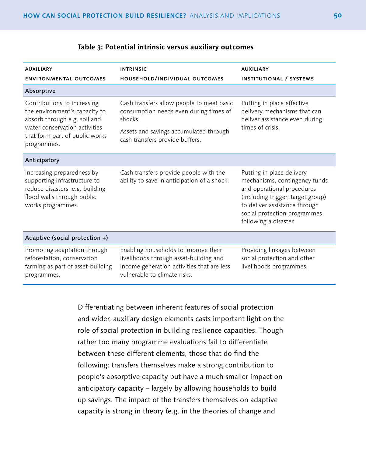| <b>AUXILIARY</b><br><b>ENVIRONMENTAL OUTCOMES</b>                                                                                                                              | <b>INTRINSIC</b><br>HOUSEHOLD/INDIVIDUAL OUTCOMES                                                                                                                           | <b>AUXILIARY</b><br><b>INSTITUTIONAL / SYSTEMS</b>                                                                                                                                                                      |
|--------------------------------------------------------------------------------------------------------------------------------------------------------------------------------|-----------------------------------------------------------------------------------------------------------------------------------------------------------------------------|-------------------------------------------------------------------------------------------------------------------------------------------------------------------------------------------------------------------------|
| Absorptive                                                                                                                                                                     |                                                                                                                                                                             |                                                                                                                                                                                                                         |
| Contributions to increasing<br>the environment's capacity to<br>absorb through e.g. soil and<br>water conservation activities<br>that form part of public works<br>programmes. | Cash transfers allow people to meet basic<br>consumption needs even during times of<br>shocks.<br>Assets and savings accumulated through<br>cash transfers provide buffers. | Putting in place effective<br>delivery mechanisms that can<br>deliver assistance even during<br>times of crisis.                                                                                                        |
| Anticipatory                                                                                                                                                                   |                                                                                                                                                                             |                                                                                                                                                                                                                         |
| Increasing preparedness by<br>supporting infrastructure to<br>reduce disasters, e.g. building<br>flood walls through public<br>works programmes.                               | Cash transfers provide people with the<br>ability to save in anticipation of a shock.                                                                                       | Putting in place delivery<br>mechanisms, contingency funds<br>and operational procedures<br>(including trigger, target group)<br>to deliver assistance through<br>social protection programmes<br>following a disaster. |
| Adaptive (social protection $+$ )                                                                                                                                              |                                                                                                                                                                             |                                                                                                                                                                                                                         |
| Promoting adaptation through<br>reforestation, conservation<br>farming as part of asset-building<br>programmes.                                                                | Enabling households to improve their<br>livelihoods through asset-building and<br>income generation activities that are less<br>vulnerable to climate risks.                | Providing linkages between<br>social protection and other<br>livelihoods programmes.                                                                                                                                    |

## **Table 3: Potential intrinsic versus auxiliary outcomes**

Differentiating between inherent features of social protection and wider, auxiliary design elements casts important light on the role of social protection in building resilience capacities. Though rather too many programme evaluations fail to differentiate between these different elements, those that do find the following: transfers themselves make a strong contribution to people's absorptive capacity but have a much smaller impact on anticipatory capacity – largely by allowing households to build up savings. The impact of the transfers themselves on adaptive capacity is strong in theory (e.g. in the theories of change and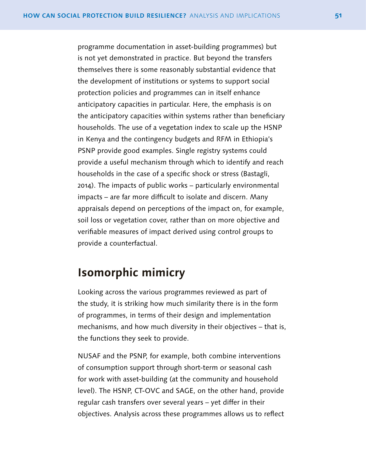<span id="page-52-0"></span>programme documentation in asset-building programmes) but is not yet demonstrated in practice. But beyond the transfers themselves there is some reasonably substantial evidence that the development of institutions or systems to support social protection policies and programmes can in itself enhance anticipatory capacities in particular. Here, the emphasis is on the anticipatory capacities within systems rather than beneficiary households. The use of a vegetation index to scale up the HSNP in Kenya and the contingency budgets and RFM in Ethiopia's PSNP provide good examples. Single registry systems could provide a useful mechanism through which to identify and reach households in the case of a specific shock or stress (Bastagli, 2014). The impacts of public works – particularly environmental impacts – are far more difficult to isolate and discern. Many appraisals depend on perceptions of the impact on, for example, soil loss or vegetation cover, rather than on more objective and verifiable measures of impact derived using control groups to provide a counterfactual.

## **Isomorphic mimicry**

Looking across the various programmes reviewed as part of the study, it is striking how much similarity there is in the form of programmes, in terms of their design and implementation mechanisms, and how much diversity in their objectives – that is, the functions they seek to provide.

NUSAF and the PSNP, for example, both combine interventions of consumption support through short-term or seasonal cash for work with asset-building (at the community and household level). The HSNP, CT-OVC and SAGE, on the other hand, provide regular cash transfers over several years – yet differ in their objectives. Analysis across these programmes allows us to reflect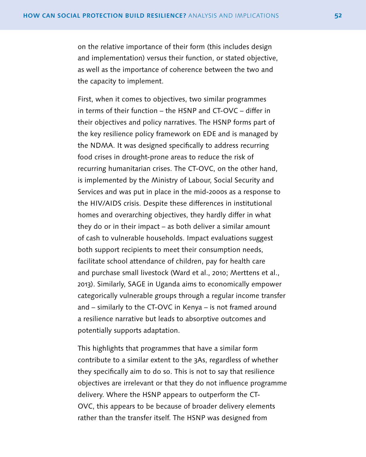on the relative importance of their form (this includes design and implementation) versus their function, or stated objective, as well as the importance of coherence between the two and the capacity to implement.

First, when it comes to objectives, two similar programmes in terms of their function – the HSNP and CT-OVC – differ in their objectives and policy narratives. The HSNP forms part of the key resilience policy framework on EDE and is managed by the NDMA. It was designed specifically to address recurring food crises in drought-prone areas to reduce the risk of recurring humanitarian crises. The CT-OVC, on the other hand, is implemented by the Ministry of Labour, Social Security and Services and was put in place in the mid-2000s as a response to the HIV/AIDS crisis. Despite these differences in institutional homes and overarching objectives, they hardly differ in what they do or in their impact – as both deliver a similar amount of cash to vulnerable households. Impact evaluations suggest both support recipients to meet their consumption needs, facilitate school attendance of children, pay for health care and purchase small livestock (Ward et al., 2010; Merttens et al., 2013). Similarly, SAGE in Uganda aims to economically empower categorically vulnerable groups through a regular income transfer and – similarly to the CT-OVC in Kenya – is not framed around a resilience narrative but leads to absorptive outcomes and potentially supports adaptation.

This highlights that programmes that have a similar form contribute to a similar extent to the 3As, regardless of whether they specifically aim to do so. This is not to say that resilience objectives are irrelevant or that they do not influence programme delivery. Where the HSNP appears to outperform the CT-OVC, this appears to be because of broader delivery elements rather than the transfer itself. The HSNP was designed from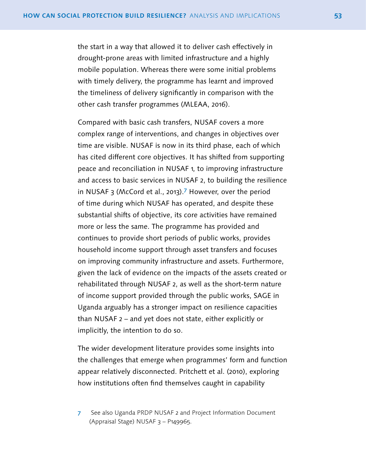the start in a way that allowed it to deliver cash effectively in drought-prone areas with limited infrastructure and a highly mobile population. Whereas there were some initial problems with timely delivery, the programme has learnt and improved the timeliness of delivery significantly in comparison with the other cash transfer programmes (MLEAA, 2016).

Compared with basic cash transfers, NUSAF covers a more complex range of interventions, and changes in objectives over time are visible. NUSAF is now in its third phase, each of which has cited different core objectives. It has shifted from supporting peace and reconciliation in NUSAF 1, to improving infrastructure and access to basic services in NUSAF 2, to building the resilience in NUSAF 3 (McCord et al., 2013).7 However, over the period of time during which NUSAF has operated, and despite these substantial shifts of objective, its core activities have remained more or less the same. The programme has provided and continues to provide short periods of public works, provides household income support through asset transfers and focuses on improving community infrastructure and assets. Furthermore, given the lack of evidence on the impacts of the assets created or rehabilitated through NUSAF 2, as well as the short-term nature of income support provided through the public works, SAGE in Uganda arguably has a stronger impact on resilience capacities than NUSAF 2 – and yet does not state, either explicitly or implicitly, the intention to do so.

The wider development literature provides some insights into the challenges that emerge when programmes' form and function appear relatively disconnected. Pritchett et al. (2010), exploring how institutions often find themselves caught in capability

7 See also Uganda PRDP NUSAF 2 and Project Information Document (Appraisal Stage) NUSAF 3 – P149965.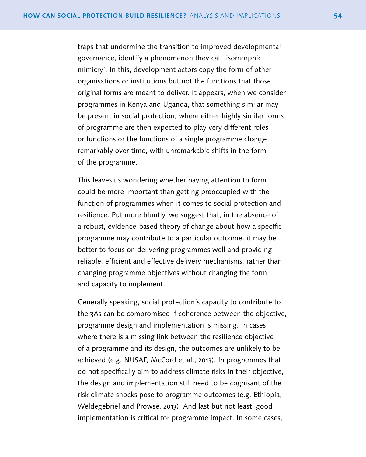traps that undermine the transition to improved developmental governance, identify a phenomenon they call 'isomorphic mimicry'. In this, development actors copy the form of other organisations or institutions but not the functions that those original forms are meant to deliver. It appears, when we consider programmes in Kenya and Uganda, that something similar may be present in social protection, where either highly similar forms of programme are then expected to play very different roles or functions or the functions of a single programme change remarkably over time, with unremarkable shifts in the form of the programme.

This leaves us wondering whether paying attention to form could be more important than getting preoccupied with the function of programmes when it comes to social protection and resilience. Put more bluntly, we suggest that, in the absence of a robust, evidence-based theory of change about how a specific programme may contribute to a particular outcome, it may be better to focus on delivering programmes well and providing reliable, efficient and effective delivery mechanisms, rather than changing programme objectives without changing the form and capacity to implement.

Generally speaking, social protection's capacity to contribute to the 3As can be compromised if coherence between the objective, programme design and implementation is missing. In cases where there is a missing link between the resilience objective of a programme and its design, the outcomes are unlikely to be achieved (e.g. NUSAF, McCord et al., 2013). In programmes that do not specifically aim to address climate risks in their objective, the design and implementation still need to be cognisant of the risk climate shocks pose to programme outcomes (e.g. Ethiopia, Weldegebriel and Prowse, 2013). And last but not least, good implementation is critical for programme impact. In some cases,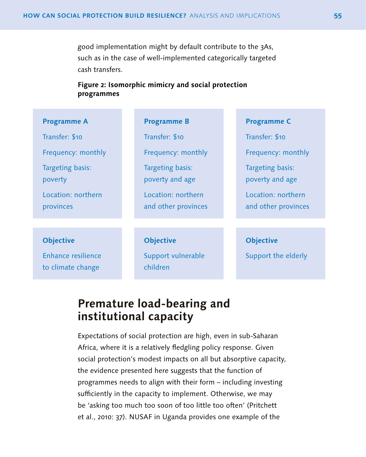<span id="page-56-0"></span>good implementation might by default contribute to the 3As, such as in the case of well-implemented categorically targeted cash transfers.

## **Figure 2: Isomorphic mimicry and social protection programmes**

## **Programme A**

Transfer: \$10

Frequency: monthly

Location: northern

Targeting basis:

poverty

provinces

**Programme B**

Transfer: \$10

Frequency: monthly

Targeting basis: poverty and age

Location: northern and other provinces **Programme C**

Transfer: \$10

Frequency: monthly

Targeting basis: poverty and age

Location: northern and other provinces

### **Objective**

Enhance resilience to climate change

### **Objective**

Support vulnerable children

#### **Objective**

Support the elderly

# **Premature load-bearing and institutional capacity**

Expectations of social protection are high, even in sub-Saharan Africa, where it is a relatively fledgling policy response. Given social protection's modest impacts on all but absorptive capacity, the evidence presented here suggests that the function of programmes needs to align with their form – including investing sufficiently in the capacity to implement. Otherwise, we may be 'asking too much too soon of too little too often' (Pritchett et al., 2010: 37). NUSAF in Uganda provides one example of the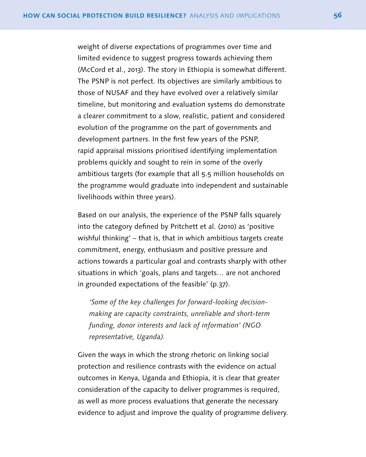weight of diverse expectations of programmes over time and limited evidence to suggest progress towards achieving them (McCord et al., 2013). The story in Ethiopia is somewhat different. The PSNP is not perfect. Its objectives are similarly ambitious to those of NUSAF and they have evolved over a relatively similar timeline, but monitoring and evaluation systems do demonstrate a clearer commitment to a slow, realistic, patient and considered evolution of the programme on the part of governments and development partners. In the first few years of the PSNP, rapid appraisal missions prioritised identifying implementation problems quickly and sought to rein in some of the overly ambitious targets (for example that all 5.5 million households on the programme would graduate into independent and sustainable livelihoods within three years).

Based on our analysis, the experience of the PSNP falls squarely into the category defined by Pritchett et al. (2010) as 'positive wishful thinking' – that is, that in which ambitious targets create commitment, energy, enthusiasm and positive pressure and actions towards a particular goal and contrasts sharply with other situations in which 'goals, plans and targets… are not anchored in grounded expectations of the feasible' (p.37).

*'Some of the key challenges for forward-looking decisionmaking are capacity constraints, unreliable and short-term funding, donor interests and lack of information' (NGO representative, Uganda).*

Given the ways in which the strong rhetoric on linking social protection and resilience contrasts with the evidence on actual outcomes in Kenya, Uganda and Ethiopia, it is clear that greater consideration of the capacity to deliver programmes is required, as well as more process evaluations that generate the necessary evidence to adjust and improve the quality of programme delivery.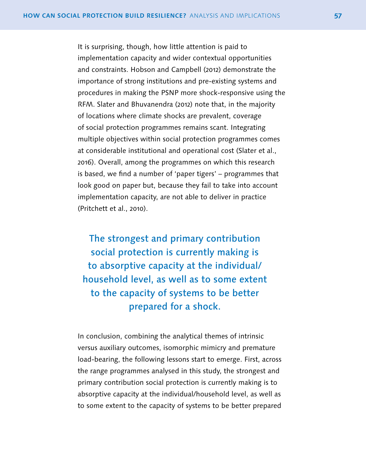It is surprising, though, how little attention is paid to implementation capacity and wider contextual opportunities and constraints. Hobson and Campbell (2012) demonstrate the importance of strong institutions and pre-existing systems and procedures in making the PSNP more shock-responsive using the RFM. Slater and Bhuvanendra (2012) note that, in the majority of locations where climate shocks are prevalent, coverage of social protection programmes remains scant. Integrating multiple objectives within social protection programmes comes at considerable institutional and operational cost (Slater et al., 2016). Overall, among the programmes on which this research is based, we find a number of 'paper tigers' – programmes that look good on paper but, because they fail to take into account implementation capacity, are not able to deliver in practice (Pritchett et al., 2010).

The strongest and primary contribution social protection is currently making is to absorptive capacity at the individual/ household level, as well as to some extent to the capacity of systems to be better prepared for a shock.

In conclusion, combining the analytical themes of intrinsic versus auxiliary outcomes, isomorphic mimicry and premature load-bearing, the following lessons start to emerge. First, across the range programmes analysed in this study, the strongest and primary contribution social protection is currently making is to absorptive capacity at the individual/household level, as well as to some extent to the capacity of systems to be better prepared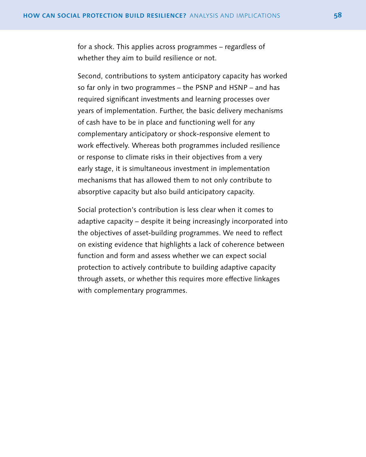for a shock. This applies across programmes – regardless of whether they aim to build resilience or not.

Second, contributions to system anticipatory capacity has worked so far only in two programmes – the PSNP and HSNP – and has required significant investments and learning processes over years of implementation. Further, the basic delivery mechanisms of cash have to be in place and functioning well for any complementary anticipatory or shock-responsive element to work effectively. Whereas both programmes included resilience or response to climate risks in their objectives from a very early stage, it is simultaneous investment in implementation mechanisms that has allowed them to not only contribute to absorptive capacity but also build anticipatory capacity.

Social protection's contribution is less clear when it comes to adaptive capacity – despite it being increasingly incorporated into the objectives of asset-building programmes. We need to reflect on existing evidence that highlights a lack of coherence between function and form and assess whether we can expect social protection to actively contribute to building adaptive capacity through assets, or whether this requires more effective linkages with complementary programmes.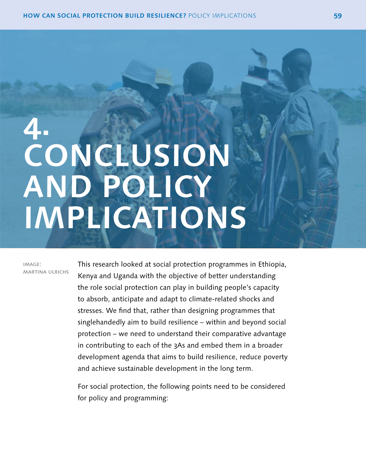# <span id="page-60-0"></span>**4. CONCLUSION AND POLICY IMPLICATIONS**

image: martina ulrichs

This research looked at social protection programmes in Ethiopia, Kenya and Uganda with the objective of better understanding the role social protection can play in building people's capacity to absorb, anticipate and adapt to climate-related shocks and stresses. We find that, rather than designing programmes that singlehandedly aim to build resilience – within and beyond social protection – we need to understand their comparative advantage in contributing to each of the 3As and embed them in a broader development agenda that aims to build resilience, reduce poverty and achieve sustainable development in the long term.

For social protection, the following points need to be considered for policy and programming: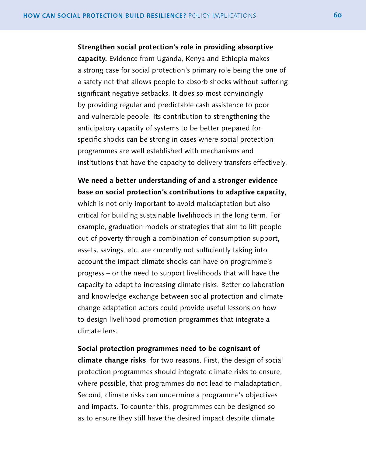**Strengthen social protection's role in providing absorptive capacity.** Evidence from Uganda, Kenya and Ethiopia makes a strong case for social protection's primary role being the one of a safety net that allows people to absorb shocks without suffering significant negative setbacks. It does so most convincingly by providing regular and predictable cash assistance to poor and vulnerable people. Its contribution to strengthening the anticipatory capacity of systems to be better prepared for specific shocks can be strong in cases where social protection programmes are well established with mechanisms and institutions that have the capacity to delivery transfers effectively.

## **We need a better understanding of and a stronger evidence base on social protection's contributions to adaptive capacity**,

which is not only important to avoid maladaptation but also critical for building sustainable livelihoods in the long term. For example, graduation models or strategies that aim to lift people out of poverty through a combination of consumption support, assets, savings, etc. are currently not sufficiently taking into account the impact climate shocks can have on programme's progress – or the need to support livelihoods that will have the capacity to adapt to increasing climate risks. Better collaboration and knowledge exchange between social protection and climate change adaptation actors could provide useful lessons on how to design livelihood promotion programmes that integrate a climate lens.

## **Social protection programmes need to be cognisant of**

**climate change risks**, for two reasons. First, the design of social protection programmes should integrate climate risks to ensure, where possible, that programmes do not lead to maladaptation. Second, climate risks can undermine a programme's objectives and impacts. To counter this, programmes can be designed so as to ensure they still have the desired impact despite climate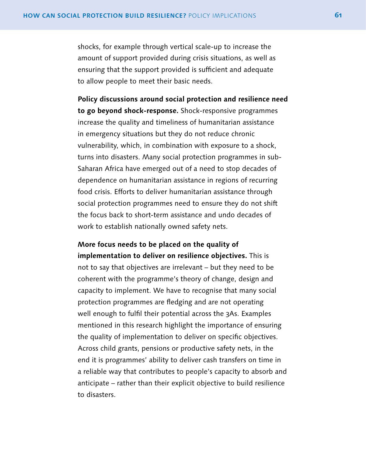shocks, for example through vertical scale-up to increase the amount of support provided during crisis situations, as well as ensuring that the support provided is sufficient and adequate to allow people to meet their basic needs.

**Policy discussions around social protection and resilience need to go beyond shock-response.** Shock-responsive programmes increase the quality and timeliness of humanitarian assistance in emergency situations but they do not reduce chronic vulnerability, which, in combination with exposure to a shock, turns into disasters. Many social protection programmes in sub-Saharan Africa have emerged out of a need to stop decades of dependence on humanitarian assistance in regions of recurring food crisis. Efforts to deliver humanitarian assistance through social protection programmes need to ensure they do not shift the focus back to short-term assistance and undo decades of work to establish nationally owned safety nets.

**More focus needs to be placed on the quality of implementation to deliver on resilience objectives.** This is not to say that objectives are irrelevant – but they need to be coherent with the programme's theory of change, design and capacity to implement. We have to recognise that many social protection programmes are fledging and are not operating well enough to fulfil their potential across the 3As. Examples mentioned in this research highlight the importance of ensuring the quality of implementation to deliver on specific objectives. Across child grants, pensions or productive safety nets, in the end it is programmes' ability to deliver cash transfers on time in a reliable way that contributes to people's capacity to absorb and anticipate – rather than their explicit objective to build resilience to disasters.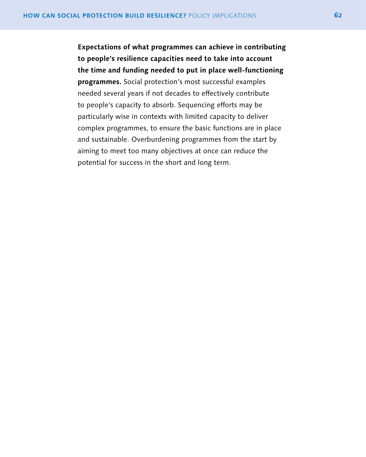**Expectations of what programmes can achieve in contributing to people's resilience capacities need to take into account the time and funding needed to put in place well-functioning programmes.** Social protection's most successful examples needed several years if not decades to effectively contribute to people's capacity to absorb. Sequencing efforts may be particularly wise in contexts with limited capacity to deliver complex programmes, to ensure the basic functions are in place and sustainable. Overburdening programmes from the start by aiming to meet too many objectives at once can reduce the potential for success in the short and long term.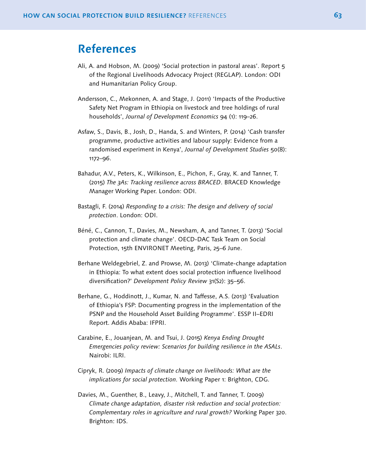## <span id="page-64-0"></span>**References**

- Ali, A. and Hobson, M. (2009) 'Social protection in pastoral areas'. Report 5 of the Regional Livelihoods Advocacy Project (REGLAP). London: ODI and Humanitarian Policy Group.
- Andersson, C., Mekonnen, A. and Stage, J. (2011) 'Impacts of the Productive Safety Net Program in Ethiopia on livestock and tree holdings of rural households', *Journal of Development Economics* 94 (1): 119–26.
- Asfaw, S., Davis, B., Josh, D., Handa, S. and Winters, P. (2014) 'Cash transfer programme, productive activities and labour supply: Evidence from a randomised experiment in Kenya', *Journal of Development Studies* 50(8): 1172–96.
- Bahadur, A.V., Peters, K., Wilkinson, E., Pichon, F., Gray, K. and Tanner, T. (2015) *The 3As: Tracking resilience across BRACED*. BRACED Knowledge Manager Working Paper. London: ODI.
- Bastagli, F. (2014) *Responding to a crisis: The design and delivery of social protection*. London: ODI.
- Béné, C., Cannon, T., Davies, M., Newsham, A, and Tanner, T. (2013) 'Social protection and climate change'. OECD-DAC Task Team on Social Protection, 15th ENVIRONET Meeting, Paris, 25–6 June.
- Berhane Weldegebriel, Z. and Prowse, M. (2013) 'Climate-change adaptation in Ethiopia: To what extent does social protection influence livelihood diversification?' *Development Policy Review* 31(S2): 35–56.
- Berhane, G., Hoddinott, J., Kumar, N. and Taffesse, A.S. (2013) 'Evaluation of Ethiopia's FSP: Documenting progress in the implementation of the PSNP and the Household Asset Building Programme'. ESSP II–EDRI Report. Addis Ababa: IFPRI.
- Carabine, E., Jouanjean, M. and Tsui, J. (2015) *Kenya Ending Drought Emergencies policy review: Scenarios for building resilience in the ASALs*. Nairobi: ILRI.
- Cipryk, R. (2009) *Impacts of climate change on livelihoods: What are the implications for social protection.* Working Paper 1: Brighton, CDG.
- Davies, M., Guenther, B., Leavy, J., Mitchell, T. and Tanner, T. (2009) *Climate change adaptation, disaster risk reduction and social protection: Complementary roles in agriculture and rural growth?* Working Paper 320. Brighton: IDS.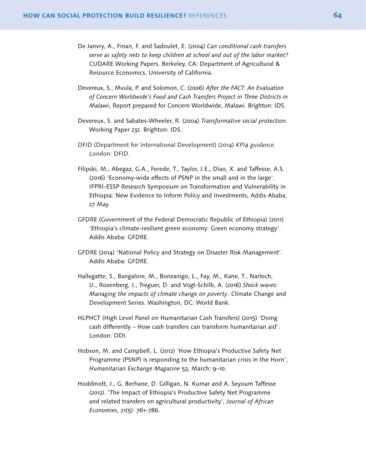- De Janvry, A., Finan, F. and Sadoulet, E. (2004) *Can conditional cash transfers serve as safety nets to keep children at school and out of the labor market?* CUDARE Working Papers. Berkeley, CA: Department of Agricultural & Resource Economics, University of California.
- Devereux, S., Mvula, P. and Solomon, C. (2006) *After the FACT: An Evaluation of Concern Worldwide's Food and Cash Transfers Project in Three Districts in Malawi*, Report prepared for Concern Worldwide, Malawi. Brighton: IDS.
- Devereux, S. and Sabates-Wheeler, R. (2004) *Transformative social protection*. Working Paper 232*.* Brighton: IDS.
- DFID (Department for International Development) (2014) *KPI4 guidance.*  London: DFID.
- Filipski, M., Abegaz, G.A., Ferede, T., Taylor, J.E., Diao, X. and Taffesse, A.S. (2016) 'Economy-wide effects of PSNP in the small and in the large'. IFPRI-ESSP Research Symposium on Transformation and Vulnerability in Ethiopia: New Evidence to Inform Policy and Investments, Addis Ababa, 27 May.
- GFDRE (Government of the Federal Democratic Republic of Ethiopia) (2011) 'Ethiopia's climate-resilient green economy: Green economy strategy'. Addis Ababa: GFDRE.
- GFDRE (2014) 'National Policy and Strategy on Disaster Risk Management'. Addis Ababa: GFDRE.
- Hallegatte, S., Bangalore, M., Bonzanigo, L., Fay, M., Kane, T., Narloch, U., Rozenberg, J., Treguer, D. and Vogt-Schilb, A. (2016) *Shock waves: Managing the impacts of climate change on poverty*. Climate Change and Development Series. Washington, DC: World Bank.
- HLPHCT (High Level Panel on Humanitarian Cash Transfers) (2015) 'Doing cash differently – How cash transfers can transform humanitarian aid'. London: ODI.
- Hobson, M. and Campbell, L. (2012) 'How Ethiopia's Productive Safety Net Programme (PSNP) is responding to the humanitarian crisis in the Horn', *Humanitarian Exchange Magazine* 53, March: 9–10.
- Hoddinott, J., G. Berhane, D. Gilligan, N. Kumar and A. Seyoum Taffesse (2012). 'The Impact of Ethiopia's Productive Safety Net Programme and related transfers on agricultural productivity', *Journal of African Economies*, 21(5): 761–786.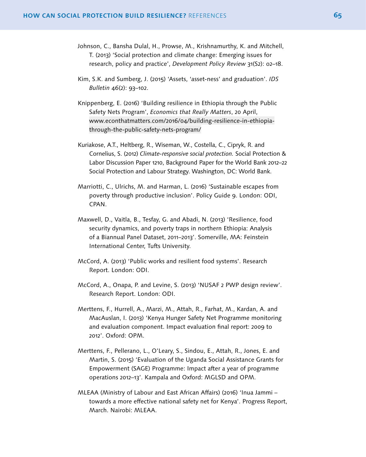- Johnson, C., Bansha Dulal, H., Prowse, M., Krishnamurthy, K. and Mitchell, T. (2013) 'Social protection and climate change: Emerging issues for research, policy and practice', *Development Policy Review* 31(S2): o2–18.
- Kim, S.K. and Sumberg, J. (2015) 'Assets, 'asset-ness' and graduation'. *IDS Bulletin* 46(2): 93–102.
- Knippenberg, E. (2016) 'Building resilience in Ethiopia through the Public Safety Nets Program', *Economics that Really Matters*, 20 April, [www.econthatmatters.com/2016/04/building-resilience-in-ethiopia](http://www.econthatmatters.com/2016/04/building-resilience-in-ethiopia-through-the-public-safety-nets-program/)[through-the-public-safety-nets-program/](http://www.econthatmatters.com/2016/04/building-resilience-in-ethiopia-through-the-public-safety-nets-program/)
- Kuriakose, A.T., Heltberg, R., Wiseman, W., Costella, C., Cipryk, R. and Cornelius, S. (2012) *Climate-responsive social protection.* Social Protection & Labor Discussion Paper 1210, Background Paper for the World Bank 2012–22 Social Protection and Labour Strategy. Washington, DC: World Bank.
- Marriotti, C., Ulrichs, M. and Harman, L. (2016) 'Sustainable escapes from poverty through productive inclusion'. Policy Guide 9. London: ODI, CPAN.
- Maxwell, D., Vaitla, B., Tesfay, G. and Abadi, N. (2013) 'Resilience, food security dynamics, and poverty traps in northern Ethiopia: Analysis of a Biannual Panel Dataset, 2011–2013'. Somerville, MA: Feinstein International Center, Tufts University.
- McCord, A. (2013) 'Public works and resilient food systems'. Research Report. London: ODI.
- McCord, A., Onapa, P. and Levine, S. (2013) 'NUSAF 2 PWP design review'. Research Report. London: ODI.
- Merttens, F., Hurrell, A., Marzi, M., Attah, R., Farhat, M., Kardan, A. and MacAuslan, I. (2013) 'Kenya Hunger Safety Net Programme monitoring and evaluation component. Impact evaluation final report: 2009 to 2012'. Oxford: OPM.
- Merttens, F., Pellerano, L., O'Leary, S., Sindou, E., Attah, R., Jones, E. and Martin, S. (2015) 'Evaluation of the Uganda Social Assistance Grants for Empowerment (SAGE) Programme: Impact after a year of programme operations 2012–13'. Kampala and Oxford: MGLSD and OPM.
- MLEAA (Ministry of Labour and East African Affairs) (2016) 'Inua Jammi towards a more effective national safety net for Kenya'. Progress Report, March. Nairobi: MLEAA.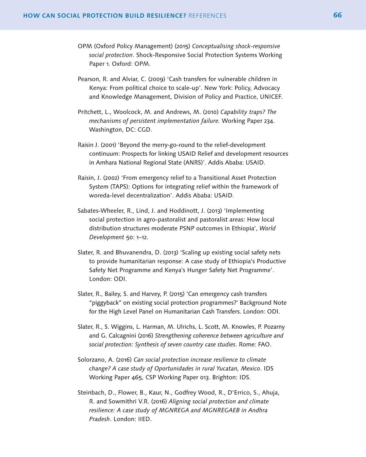- OPM (Oxford Policy Management) (2015) *Conceptualising shock-responsive social protection*. Shock-Responsive Social Protection Systems Working Paper 1. Oxford: OPM.
- Pearson, R. and Alviar, C. (2009) 'Cash transfers for vulnerable children in Kenya: From political choice to scale-up'. New York: Policy, Advocacy and Knowledge Management, Division of Policy and Practice, UNICEF.
- Pritchett, L., Woolcock, M. and Andrews, M. (2010) *Capability traps? The mechanisms of persistent implementation failure.* Working Paper 234. Washington, DC: CGD.
- Raisin J. (2001) 'Beyond the merry-go-round to the relief-development continuum: Prospects for linking USAID Relief and development resources in Amhara National Regional State (ANRS)'. Addis Ababa: USAID.
- Raisin, J. (2002) 'From emergency relief to a Transitional Asset Protection System (TAPS): Options for integrating relief within the framework of woreda-level decentralization'. Addis Ababa: USAID.
- Sabates-Wheeler, R., Lind, J. and Hoddinott, J. (2013) 'Implementing social protection in agro-pastoralist and pastoralist areas: How local distribution structures moderate PSNP outcomes in Ethiopia', *World Development* 50: 1–12.
- Slater, R. and Bhuvanendra, D. (2013) 'Scaling up existing social safety nets to provide humanitarian response: A case study of Ethiopia's Productive Safety Net Programme and Kenya's Hunger Safety Net Programme'. London: ODI.
- Slater, R., Bailey, S. and Harvey, P. (2015) 'Can emergency cash transfers "piggyback" on existing social protection programmes?' Background Note for the High Level Panel on Humanitarian Cash Transfers. London: ODI.
- Slater, R., S. Wiggins, L. Harman, M. Ulrichs, L. Scott, M. Knowles, P. Pozarny and G. Calcagnini (2016) *Strengthening coherence between agriculture and social protection: Synthesis of seven country case studies*. Rome: FAO.
- Solorzano, A. (2016) *Can social protection increase resilience to climate change? A case study of Oportunidades in rural Yucatan, Mexico*. IDS Working Paper 465, CSP Working Paper 013. Brighton: IDS.
- Steinbach, D., Flower, B., Kaur, N., Godfrey Wood, R., D'Errico, S., Ahuja, R. and Sowmithri V.R. (2016) *Aligning social protection and climate resilience: A case study of MGNREGA and MGNREGAEB in Andhra Pradesh*. London: IIED.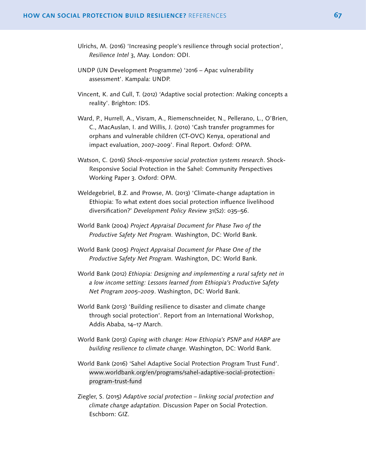- Ulrichs, M. (2016) 'Increasing people's resilience through social protection', *Resilience Intel* 3, May. London: ODI.
- UNDP (UN Development Programme) '2016 Apac vulnerability assessment'. Kampala: UNDP.
- Vincent, K. and Cull, T. (2012) 'Adaptive social protection: Making concepts a reality'. Brighton: IDS.
- Ward, P., Hurrell, A., Visram, A., Riemenschneider, N., Pellerano, L., O'Brien, C., MacAuslan, I. and Willis, J. (2010) 'Cash transfer programmes for orphans and vulnerable children (CT-OVC) Kenya, operational and impact evaluation, 2007–2009'. Final Report. Oxford: OPM.
- Watson, C. (2016) *Shock-responsive social protection systems research*. Shock-Responsive Social Protection in the Sahel: Community Perspectives Working Paper 3. Oxford: OPM.
- Weldegebriel, B.Z. and Prowse, M. (2013) 'Climate-change adaptation in Ethiopia: To what extent does social protection influence livelihood diversification?' *Development Policy Review* 31(S2): o35–56.
- World Bank (2004) *Project Appraisal Document for Phase Two of the Productive Safety Net Program.* Washington, DC: World Bank.
- World Bank (2005) *Project Appraisal Document for Phase One of the Productive Safety Net Program.* Washington, DC: World Bank.
- World Bank (2012) *Ethiopia: Designing and implementing a rural safety net in a low income setting: Lessons learned from Ethiopia's Productive Safety Net Program 2005–2009*. Washington, DC: World Bank.
- World Bank (2013) 'Building resilience to disaster and climate change through social protection'. Report from an International Workshop, Addis Ababa, 14–17 March.
- World Bank (2013) *Coping with change: How Ethiopia's PSNP and HABP are building resilience to climate change.* Washington, DC: World Bank.
- World Bank (2016) 'Sahel Adaptive Social Protection Program Trust Fund'. [www.worldbank.org/en/programs/sahel-adaptive-social-protection](http://www.worldbank.org/en/programs/sahel-adaptive-social-protection-program-trust-fund)[program-trust-fund](http://www.worldbank.org/en/programs/sahel-adaptive-social-protection-program-trust-fund)
- Ziegler, S. (2015) *Adaptive social protection linking social protection and climate change adaptation.* Discussion Paper on Social Protection. Eschborn: GIZ.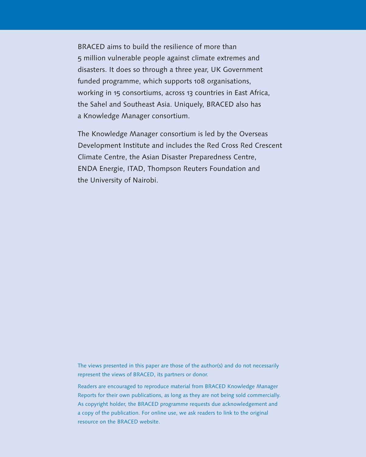BRACED aims to build the resilience of more than 5 million vulnerable people against climate extremes and disasters. It does so through a three year, UK Government funded programme, which supports 108 organisations, working in 15 consortiums, across 13 countries in East Africa, the Sahel and Southeast Asia. Uniquely, BRACED also has a Knowledge Manager consortium.

The Knowledge Manager consortium is led by the Overseas Development Institute and includes the Red Cross Red Crescent Climate Centre, the Asian Disaster Preparedness Centre, ENDA Energie, ITAD, Thompson Reuters Foundation and the University of Nairobi.

The views presented in this paper are those of the author(s) and do not necessarily represent the views of BRACED, its partners or donor.

Readers are encouraged to reproduce material from BRACED Knowledge Manager Reports for their own publications, as long as they are not being sold commercially. As copyright holder, the BRACED programme requests due acknowledgement and a copy of the publication. For online use, we ask readers to link to the original resource on the BRACED website.